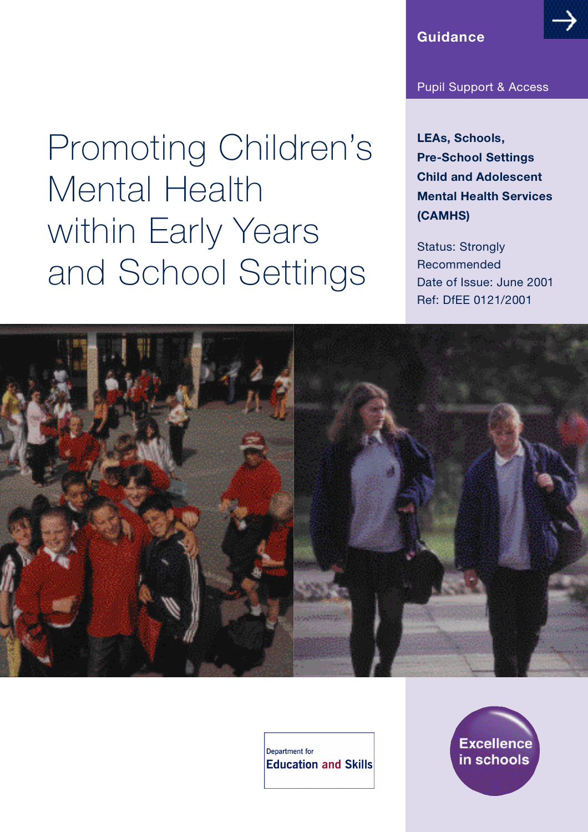## **Guidance**

## Pupil Support & Access

**LEAs, Schools, Pre-School Settings Child and Adolescent Mental Health Services ( C A M H S )**

Status: Strongly Recommended Date of Issue: June 2001 Ref: DfEE 0121/2001

Promoting Children's Mental Health within Early Years and School Settings



Department for **Education and Skills** 

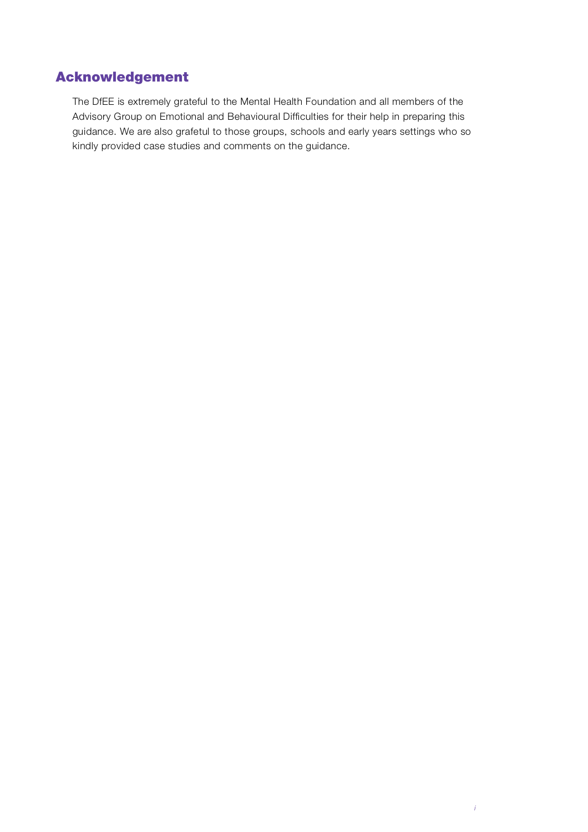## Acknowledgement

The DfEE is extremely grateful to the Mental Health Foundation and all members of the Advisory Group on Emotional and Behavioural Difficulties for their help in preparing this guidance. We are also grafetul to those groups, schools and early years settings who so kindly provided case studies and comments on the guidance.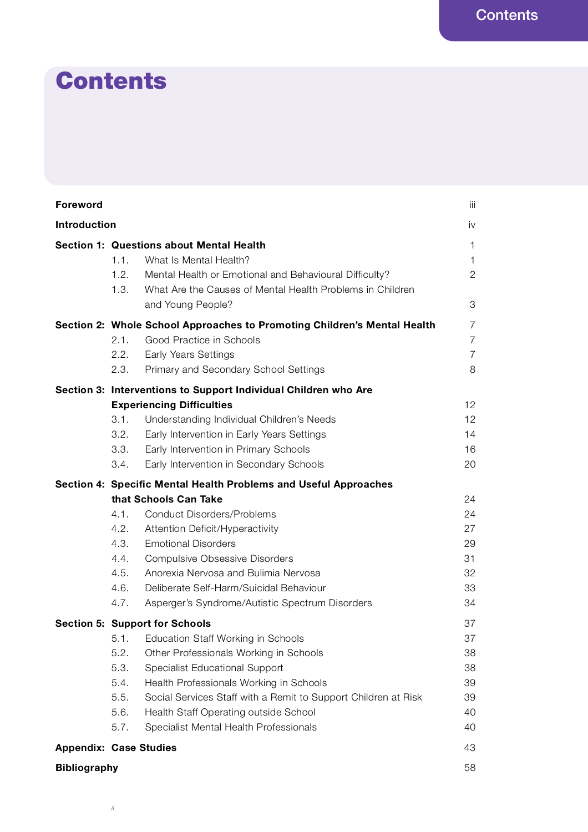# **Contents**

| <b>Foreword</b>     |                                                                                                                                                                                                                                                                                                                                                                                                                                        | iii                                                     |
|---------------------|----------------------------------------------------------------------------------------------------------------------------------------------------------------------------------------------------------------------------------------------------------------------------------------------------------------------------------------------------------------------------------------------------------------------------------------|---------------------------------------------------------|
| Introduction        |                                                                                                                                                                                                                                                                                                                                                                                                                                        | iv                                                      |
|                     | <b>Section 1: Questions about Mental Health</b><br>1.1.<br>What Is Mental Health?<br>1.2.<br>Mental Health or Emotional and Behavioural Difficulty?<br>1.3.<br>What Are the Causes of Mental Health Problems in Children<br>and Young People?                                                                                                                                                                                          | $\mathbf{1}$<br>$\mathbf{1}$<br>$\overline{2}$<br>3     |
|                     | Section 2: Whole School Approaches to Promoting Children's Mental Health<br>2.1.<br>Good Practice in Schools<br><b>Early Years Settings</b><br>2.2.<br>2.3.<br>Primary and Secondary School Settings                                                                                                                                                                                                                                   | $\overline{7}$<br>$\overline{7}$<br>$\overline{7}$<br>8 |
|                     | Section 3: Interventions to Support Individual Children who Are<br><b>Experiencing Difficulties</b><br>3.1.<br>Understanding Individual Children's Needs<br>3.2.<br>Early Intervention in Early Years Settings<br>3.3.<br>Early Intervention in Primary Schools<br>3.4.<br>Early Intervention in Secondary Schools                                                                                                                     | 12<br>12<br>14<br>16<br>20                              |
|                     | Section 4: Specific Mental Health Problems and Useful Approaches<br>that Schools Can Take<br>4.1.<br><b>Conduct Disorders/Problems</b><br>4.2.<br>Attention Deficit/Hyperactivity<br>4.3.<br><b>Emotional Disorders</b><br>4.4.<br><b>Compulsive Obsessive Disorders</b><br>Anorexia Nervosa and Bulimia Nervosa<br>4.5.<br>4.6.<br>Deliberate Self-Harm/Suicidal Behaviour<br>4.7.<br>Asperger's Syndrome/Autistic Spectrum Disorders | 24<br>24<br>27<br>29<br>31<br>32<br>33<br>34            |
|                     | <b>Section 5: Support for Schools</b><br>5.1. Education Staff Working in Schools<br>5.2.<br>Other Professionals Working in Schools<br>5.3.<br>Specialist Educational Support<br>5.4.<br>Health Professionals Working in Schools<br>5.5.<br>Social Services Staff with a Remit to Support Children at Risk<br>5.6.<br>Health Staff Operating outside School<br>5.7.<br>Specialist Mental Health Professionals                           | 37<br>37<br>38<br>38<br>39<br>39<br>40<br>40            |
|                     | <b>Appendix: Case Studies</b>                                                                                                                                                                                                                                                                                                                                                                                                          | 43                                                      |
| <b>Bibliography</b> |                                                                                                                                                                                                                                                                                                                                                                                                                                        | 58                                                      |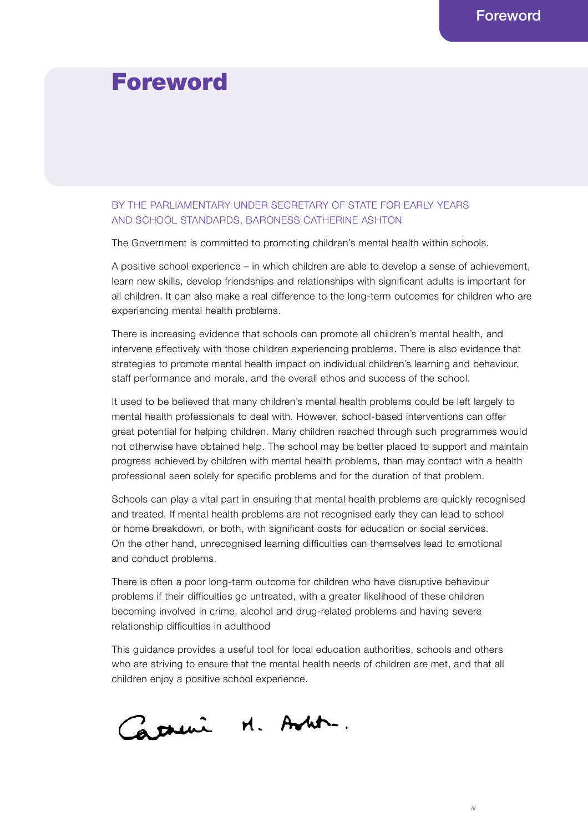## Foreword

## BY THE PARLIAMENTARY UNDER SECRETARY OF STATE FOR EARLY YEARS AND SCHOOL STANDARDS, BARONESS CATHERINE ASHTON

The Government is committed to promoting children's mental health within schools.

A positive school experience – in which children are able to develop a sense of achievement, learn new skills, develop friendships and relationships with significant adults is important for all children. It can also make a real difference to the long-term outcomes for children who are experiencing mental health problems.

There is increasing evidence that schools can promote all children's mental health, and intervene effectively with those children experiencing problems. There is also evidence that strategies to promote mental health impact on individual children's learning and behaviour, staff performance and morale, and the overall ethos and success of the school.

It used to be believed that many children's mental health problems could be left largely to mental health professionals to deal with. However, school-based interventions can offer great potential for helping children. Many children reached through such programmes would not otherwise have obtained help. The school may be better placed to support and maintain progress achieved by children with mental health problems, than may contact with a health professional seen solely for specific problems and for the duration of that problem.

Schools can play a vital part in ensuring that mental health problems are quickly recognised and treated. If mental health problems are not recognised early they can lead to school or home breakdown, or both, with significant costs for education or social services. On the other hand, unrecognised learning difficulties can themselves lead to emotional and conduct problems.

There is often a poor long-term outcome for children who have disruptive behaviour problems if their difficulties go untreated, with a greater likelihood of these children becoming involved in crime, alcohol and drug-related problems and having severe relationship difficulties in adulthood

This guidance provides a useful tool for local education authorities, schools and others who are striving to ensure that the mental health needs of children are met, and that all children enjoy a positive school experience.

Carrier M. Anti-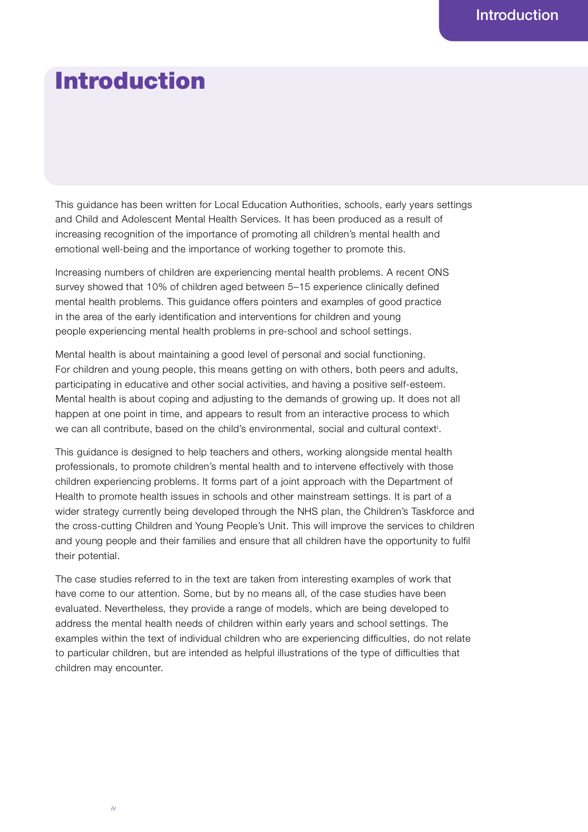## Introduction

This guidance has been written for Local Education Authorities, schools, early years settings and Child and Adolescent Mental Health Services. It has been produced as a result of increasing recognition of the importance of promoting all children's mental health and emotional well-being and the importance of working together to promote this.

Increasing numbers of children are experiencing mental health problems. A recent ONS survey showed that 10% of children aged between 5-15 experience clinically defined mental health problems. This guidance offers pointers and examples of good practice in the area of the early identification and interventions for children and young people experiencing mental health problems in pre-school and school settings.

Mental health is about maintaining a good level of personal and social functioning. For children and young people, this means getting on with others, both peers and adults, participating in educative and other social activities, and having a positive self-esteem. Mental health is about coping and adjusting to the demands of growing up. It does not all happen at one point in time, and appears to result from an interactive process to which we can all contribute, based on the child's environmental, social and cultural context<sup>i</sup>.

This guidance is designed to help teachers and others, working alongside mental health professionals, to promote children's mental health and to intervene effectively with those children experiencing problems. It forms part of a joint approach with the Department of Health to promote health issues in schools and other mainstream settings. It is part of a wider strategy currently being developed through the NHS plan, the Children's Taskforce and the cross-cutting Children and Young People's Unit. This will improve the services to children and young people and their families and ensure that all children have the opportunity to fulfil their potential.

The case studies referred to in the text are taken from interesting examples of work that have come to our attention. Some, but by no means all, of the case studies have been evaluated. Nevertheless, they provide a range of models, which are being developed to address the mental health needs of children within early years and school settings. The examples within the text of individual children who are experiencing difficulties, do not relate to particular children, but are intended as helpful illustrations of the type of difficulties that children may encounter.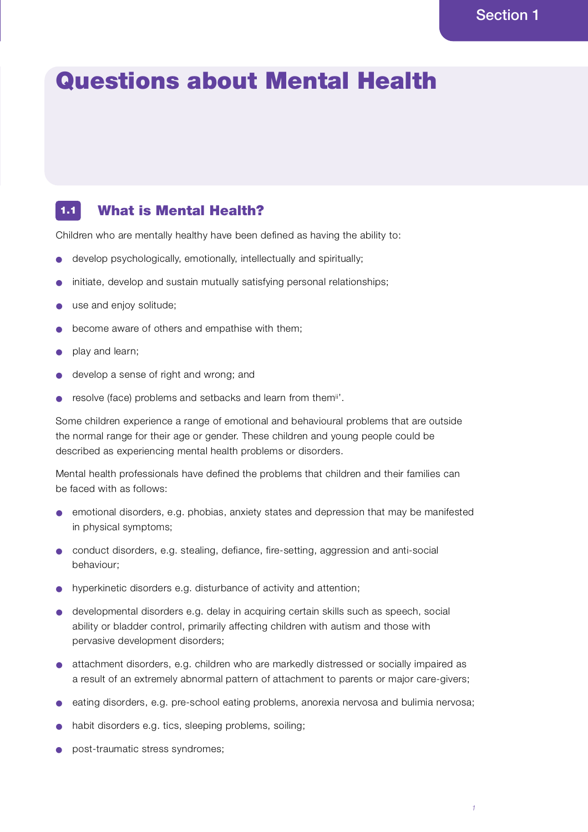# Questions about Mental Health

#### What is Mental Health? 1.1

Children who are mentally healthy have been defined as having the ability to:

- develop psychologically, emotionally, intellectually and spiritually;
- initiate, develop and sustain mutually satisfying personal relationships;
- use and enjoy solitude;
- become aware of others and empathise with them;
- play and learn;
- develop a sense of right and wrong; and
- resolve (face) problems and setbacks and learn from themi''.

Some children experience a range of emotional and behavioural problems that are outside the normal range for their age or gender. These children and young people could be described as experiencing mental health problems or disorders.

Mental health professionals have defined the problems that children and their families can be faced with as follows:

- emotional disorders, e.g. phobias, anxiety states and depression that may be manifested in physical symptoms;
- conduct disorders, e.g. stealing, defiance, fire-setting, aggression and anti-social behaviour;
- hyperkinetic disorders e.g. disturbance of activity and attention;
- developmental disorders e.g. delay in acquiring certain skills such as speech, social ability or bladder control, primarily affecting children with autism and those with pervasive development disorders;
- attachment disorders, e.g. children who are markedly distressed or socially impaired as a result of an extremely abnormal pattern of attachment to parents or major care-givers;
- eating disorders, e.g. pre-school eating problems, anorexia nervosa and bulimia nervosa;
- habit disorders e.g. tics, sleeping problems, soiling;
- post-traumatic stress syndromes: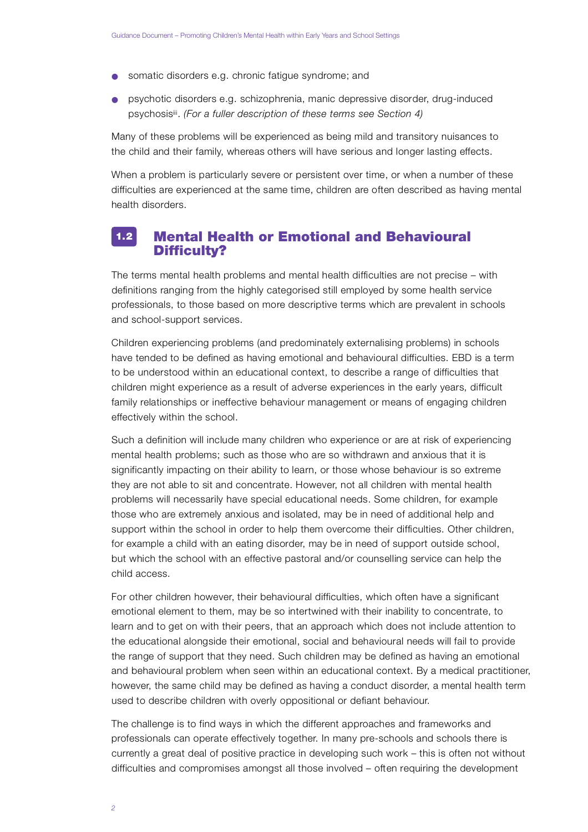- somatic disorders e.g. chronic fatigue syndrome; and
- psychotic disorders e.g. schizophrenia, manic depressive disorder, drug-induced psychosisii. *(For a fuller description of these terms see Section 4)*

Many of these problems will be experienced as being mild and transitory nuisances to the child and their family, whereas others will have serious and longer lasting effects.

When a problem is particularly severe or persistent over time, or when a number of these difficulties are experienced at the same time, children are often described as having mental health disorders.

#### Mental Health or Emotional and Behavioural Difficulty?  $1.2$

The terms mental health problems and mental health difficulties are not precise – with definitions ranging from the highly categorised still employed by some health service p rofessionals, to those based on more descriptive terms which are prevalent in schools and school-support services.

Children experiencing problems (and predominately externalising problems) in schools have tended to be defined as having emotional and behavioural difficulties. EBD is a term to be understood within an educational context, to describe a range of difficulties that children might experience as a result of adverse experiences in the early years, difficult family relationships or ineffective behaviour management or means of engaging children effectively within the school.

Such a definition will include many children who experience or are at risk of experiencing mental health problems; such as those who are so withdrawn and anxious that it is significantly impacting on their ability to learn, or those whose behaviour is so extreme they are not able to sit and concentrate. However, not all children with mental health p roblems will necessarily have special educational needs. Some children, for example those who are extremely anxious and isolated, may be in need of additional help and support within the school in order to help them overcome their difficulties. Other children, for example a child with an eating disorder, may be in need of support outside school, but which the school with an effective pastoral and/or counselling service can help the child access.

For other children however, their behavioural difficulties, which often have a significant emotional element to them, may be so intertwined with their inability to concentrate, to learn and to get on with their peers, that an approach which does not include attention to the educational alongside their emotional, social and behavioural needs will fail to provide the range of support that they need. Such children may be defined as having an emotional and behavioural problem when seen within an educational context. By a medical practitioner, however, the same child may be defined as having a conduct disorder, a mental health term used to describe children with overly oppositional or defiant behaviour.

The challenge is to find ways in which the different approaches and frameworks and p rofessionals can operate effectively together. In many pre-schools and schools there is currently a great deal of positive practice in developing such work – this is often not without difficulties and compromises amongst all those involved - often requiring the development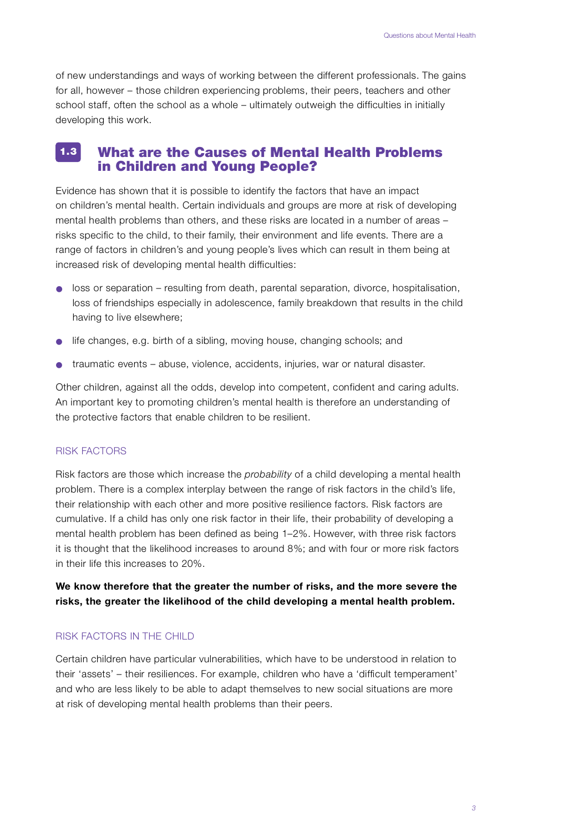of new understandings and ways of working between the different professionals. The gains for all, however – those children experiencing problems, their peers, teachers and other school staff, often the school as a whole – ultimately outweigh the difficulties in initially developing this work.

#### What are the Causes of Mental Health Problems in Children and Young People? 1.3

Evidence has shown that it is possible to identify the factors that have an impact on children's mental health. Certain individuals and groups are more at risk of developing mental health problems than others, and these risks are located in a number of areas – risks specific to the child, to their family, their environment and life events. There are a range of factors in children's and young people's lives which can result in them being at increased risk of developing mental health difficulties:

- loss or separation resulting from death, parental separation, divorce, hospitalisation, loss of friendships especially in adolescence, family breakdown that results in the child having to live elsewhere;
- life changes, e.g. birth of a sibling, moving house, changing schools; and
- traumatic events abuse, violence, accidents, injuries, war or natural disaster.

Other children, against all the odds, develop into competent, confident and caring adults. An important key to promoting children's mental health is therefore an understanding of the protective factors that enable children to be resilient.

#### **RISK FACTORS**

Risk factors are those which increase the *probability* of a child developing a mental health p roblem. There is a complex interplay between the range of risk factors in the child's life, their relationship with each other and more positive resilience factors. Risk factors are cumulative. If a child has only one risk factor in their life, their probability of developing a mental health problem has been defined as being 1–2%. However, with three risk factors it is thought that the likelihood increases to around 8%; and with four or more risk factors in their life this increases to 20%.

We know therefore that the greater the number of risks, and the more severe the risks, the greater the likelihood of the child developing a mental health problem.

### RISK FACTORS IN THE CHILD

Certain children have particular vulnerabilities, which have to be understood in relation to their 'assets' – their resiliences. For example, children who have a 'difficult temperament' and who are less likely to be able to adapt themselves to new social situations are more at risk of developing mental health problems than their peers.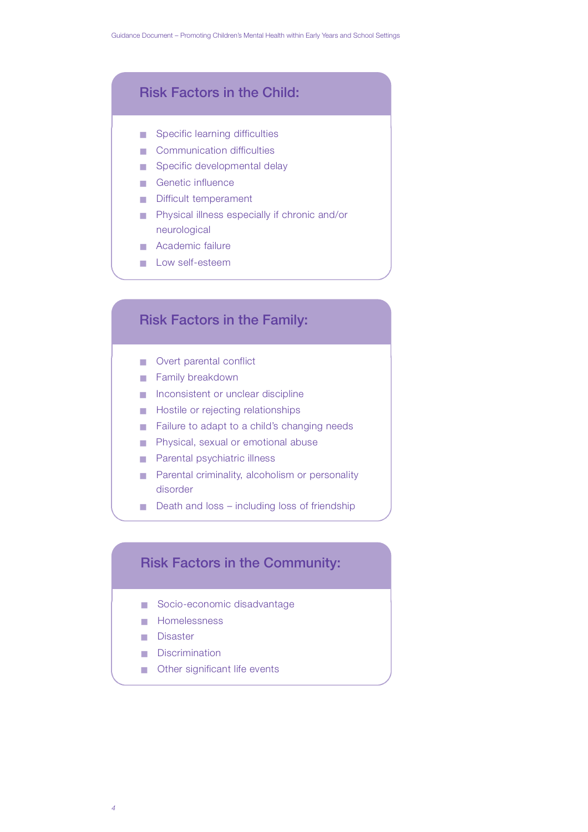## Risk Factors in the Child:

- $\blacksquare$  Specific learning difficulties
- $\blacksquare$  Communication difficulties
- Specific developmental delay
- Genetic influence
- Difficult temperament
- Physical illness especially if chronic and/or neurological
- Academic failure
- **Low self-esteem**

## Risk Factors in the Family:

- Overt parental conflict
- Family breakdown
- Inconsistent or unclear discipline
- $\blacksquare$  Hostile or rejecting relationships
- Failure to adapt to a child's changing needs
- Physical, sexual or emotional abuse
- Parental psychiatric illness
- Parental criminality, alcoholism or personality disorder
- Death and loss including loss of friendship

## Risk Factors in the Community:

- Socio-economic disadvantage
- Homelessness
- Disaster
- Discrimination
- Other significant life events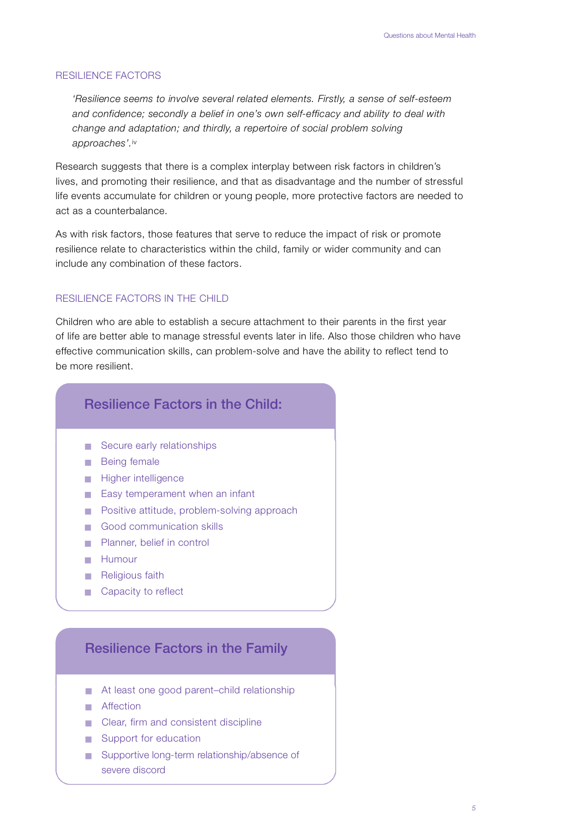#### RESILIENCE FACTORS

*'Resilience seems to involve several related elements. Firstly, a sense of self-esteem and confidence; secondly a belief in one's own self-efficacy and ability to deal with change and adaptation; and thirdly, a repertoire of social problem solving* approaches'.iv

Research suggests that there is a complex interplay between risk factors in children's lives, and promoting their resilience, and that as disadvantage and the number of stressful life events accumulate for children or young people, more protective factors are needed to act as a counterbalance.

As with risk factors, those features that serve to reduce the impact of risk or promote resilience relate to characteristics within the child, family or wider community and can include any combination of these factors.

## RESILIENCE FACTORS IN THE CHILD

Children who are able to establish a secure attachment to their parents in the first year of life are better able to manage stressful events later in life. Also those children who have e ffective communication skills, can problem-solve and have the ability to reflect tend to be more resilient.

## Resilience Factors in the Child:

- Secure early relationships
- Being female
- Higher intelligence
- Easy temperament when an infant
- Positive attitude, problem-solving approach
- Good communication skills
- Planner, belief in control
- Humour
- Religious faith
- Capacity to reflect

## Resilience Factors in the Family

- $\blacksquare$  At least one good parent–child relationship
- Affection
- Clear, firm and consistent discipline
- Support for education
- Supportive long-term relationship/absence of severe discord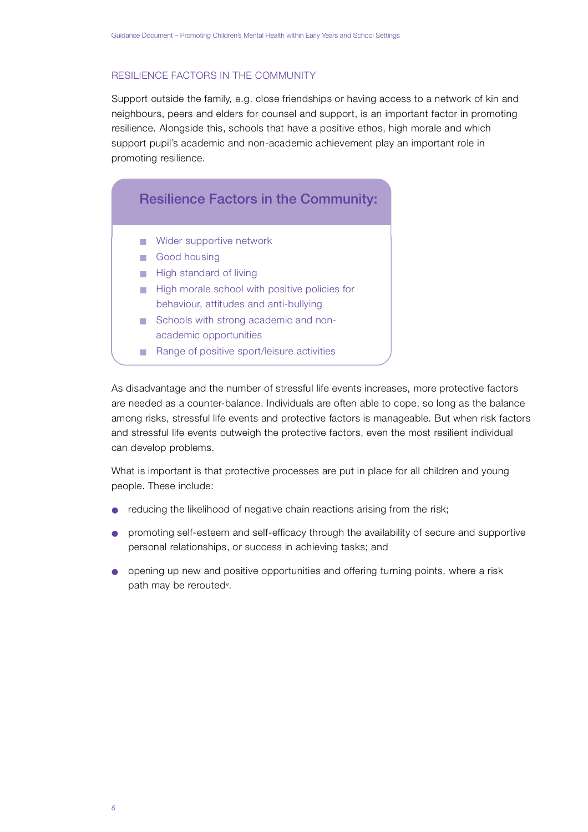## RESILIENCE FACTORS IN THE COMMUNITY

Support outside the family, e.g. close friendships or having access to a network of kin and neighbours, peers and elders for counsel and support, is an important factor in promoting resilience. Alongside this, schools that have a positive ethos, high morale and which support pupil's academic and non-academic achievement play an important role in promoting resilience.

## Resilience Factors in the Community:

- Wider supportive network
- Good housing
- High standard of living
- High morale school with positive policies for behaviour, attitudes and anti-bullying
- Schools with strong academic and nonacademic opportunities
- Range of positive sport/leisure activities

As disadvantage and the number of stressful life events increases, more protective factors are needed as a counter-balance. Individuals are often able to cope, so long as the balance among risks, stressful life events and protective factors is manageable. But when risk factors and stressful life events outweigh the protective factors, even the most resilient individual can develop problems.

What is important is that protective processes are put in place for all children and young people. These include:

- reducing the likelihood of negative chain reactions arising from the risk;
- promoting self-esteem and self-efficacy through the availability of secure and supportive personal relationships, or success in achieving tasks; and
- opening up new and positive opportunities and offering turning points, where a risk path may be rerouted<sup>v</sup>.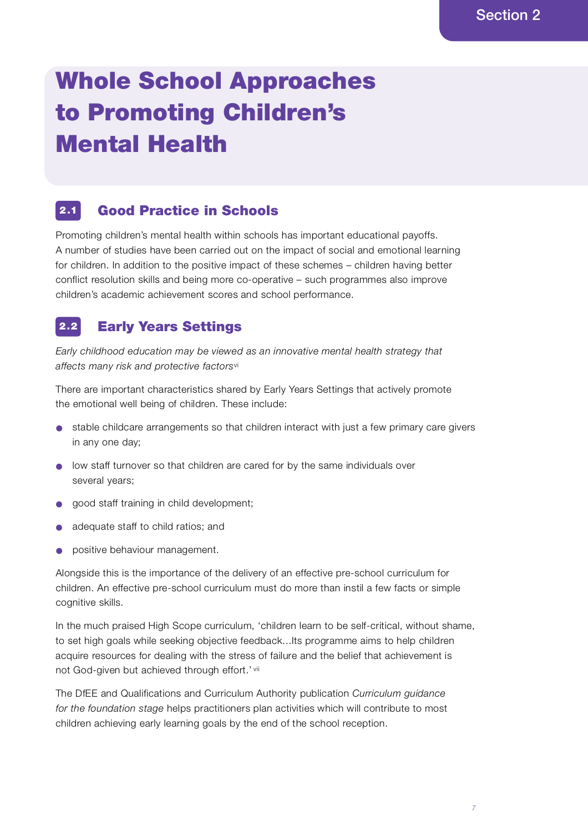# Whole School Approaches to Promoting Children's Mental Health

#### Good Practice in Schools 2 .1

Promoting children's mental health within schools has important educational payoffs. A number of studies have been carried out on the impact of social and emotional learning for children. In addition to the positive impact of these schemes – children having better conflict resolution skills and being more co-operative – such programmes also improve children's academic achievement scores and school performance.

#### Early Years Settings  $2.2$

*Early childhood education may be viewed as an innovative mental health strategy that* affects many risk and protective factors<sup>vi</sup>

There are important characteristics shared by Early Years Settings that actively promote the emotional well being of children. These include:

- stable childcare arrangements so that children interact with just a few primary care givers in any one day;
- low staff turnover so that children are cared for by the same individuals over several years;
- good staff training in child development;
- adequate staff to child ratios; and
- **•** positive behaviour management.

Alongside this is the importance of the delivery of an effective pre-school curriculum for children. An effective pre-school curriculum must do more than instil a few facts or simple cognitive skills.

In the much praised High Scope curriculum, 'children learn to be self-critical, without shame, to set high goals while seeking objective feedback...Its programme aims to help children acquire resources for dealing with the stress of failure and the belief that achievement is not God-given but achieved through effort.' vii

The DfEE and Qualifications and Curriculum Authority publication *Curriculum guidance* for the foundation stage helps practitioners plan activities which will contribute to most children achieving early learning goals by the end of the school reception.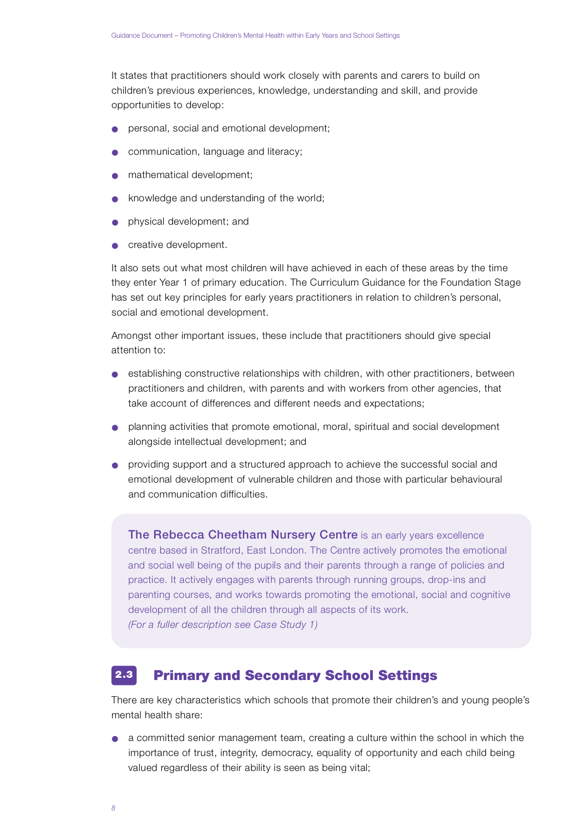It states that practitioners should work closely with parents and carers to build on children's previous experiences, knowledge, understanding and skill, and provide opportunities to develop:

- personal, social and emotional development;
- communication, language and literacy;
- mathematical development;
- knowledge and understanding of the world;
- physical development; and
- **•** creative development.

It also sets out what most children will have achieved in each of these areas by the time they enter Year 1 of primary education. The Curriculum Guidance for the Foundation Stage has set out key principles for early years practitioners in relation to children's personal, social and emotional development.

Amongst other important issues, these include that practitioners should give special attention to:

- establishing constructive relationships with children, with other practitioners, between practitioners and children, with parents and with workers from other agencies, that take account of differences and different needs and expectations;
- planning activities that promote emotional, moral, spiritual and social development alongside intellectual development; and
- providing support and a structured approach to achieve the successful social and emotional development of vulnerable children and those with particular behavioural and communication difficulties

The Rebecca Cheetham Nursery Centre is an early years excellence centre based in Stratford, East London. The Centre actively promotes the emotional and social well being of the pupils and their parents through a range of policies and practice. It actively engages with parents through running groups, drop-ins and parenting courses, and works towards promoting the emotional, social and cognitive development of all the children through all aspects of its work. *(For a fuller description see Case Study 1)*

#### Primary and Secondary School Settings  $2.3$

There are key characteristics which schools that promote their children's and young people's mental health share:

● a committed senior management team, creating a culture within the school in which the importance of trust, integrity, democracy, equality of opportunity and each child being valued regardless of their ability is seen as being vital;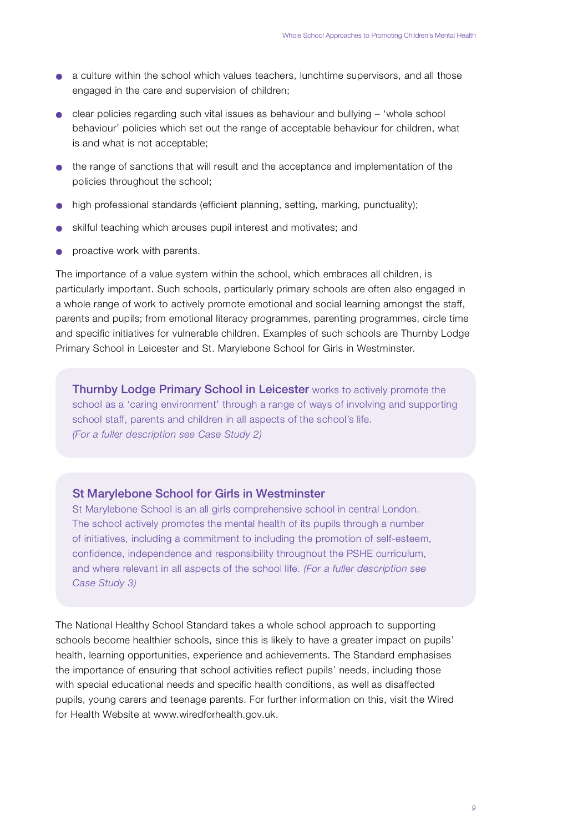- a culture within the school which values teachers, lunchtime supervisors, and all those engaged in the care and supervision of children;
- $\bullet$  clear policies regarding such vital issues as behaviour and bullying 'whole school behaviour' policies which set out the range of acceptable behaviour for children, what is and what is not acceptable;
- the range of sanctions that will result and the acceptance and implementation of the policies throughout the school;
- $\bullet$  high professional standards (efficient planning, setting, marking, punctuality);
- skilful teaching which arouses pupil interest and motivates; and
- $\bullet$  proactive work with parents.

The importance of a value system within the school, which embraces all children, is particularly important. Such schools, particularly primary schools are often also engaged in a whole range of work to actively promote emotional and social learning amongst the staff, parents and pupils; from emotional literacy programmes, parenting programmes, circle time and specific initiatives for vulnerable children. Examples of such schools are Thurnby Lodge Primary School in Leicester and St. Marylebone School for Girls in Westminster.

**Thurnby Lodge Primary School in Leicester** works to actively promote the school as a 'caring environment' through a range of ways of involving and supporting school staff, parents and children in all aspects of the school's life. *(For a fuller description see Case Study 2)*

## St Marylebone School for Girls in Westminster

St Marylebone School is an all girls comprehensive school in central London. The school actively promotes the mental health of its pupils through a number of initiatives, including a commitment to including the promotion of self-esteem, confidence, independence and responsibility throughout the PSHE curriculum, and where relevant in all aspects of the school life. *(For a fuller description see Case Study 3)* 

The National Healthy School Standard takes a whole school approach to supporting schools become healthier schools, since this is likely to have a greater impact on pupils' health, learning opportunities, experience and achievements. The Standard emphasises the importance of ensuring that school activities reflect pupils' needs, including those with special educational needs and specific health conditions, as well as disaffected pupils, young carers and teenage parents. For further information on this, visit the Wired for Health Website at www.wiredforhealth.gov.uk.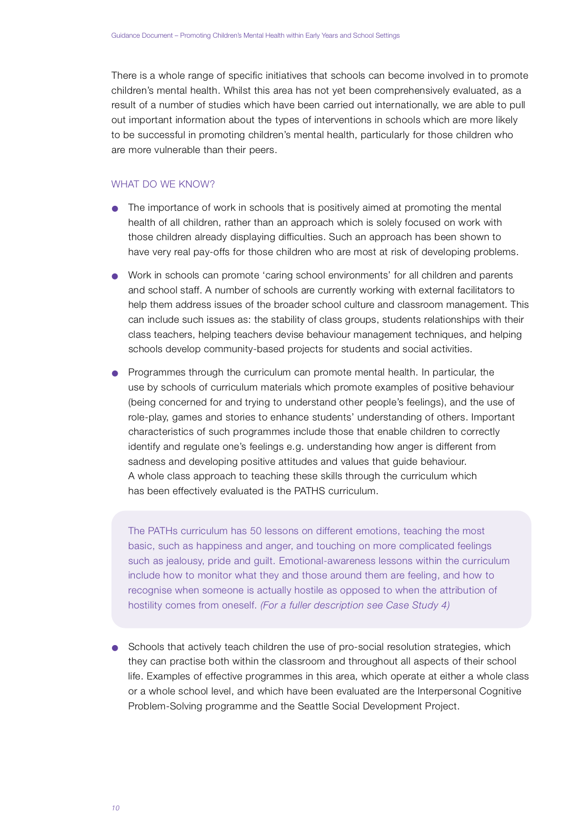There is a whole range of specific initiatives that schools can become involved in to promote children's mental health. Whilst this area has not yet been comprehensively evaluated, as a result of a number of studies which have been carried out internationally, we are able to pull out important information about the types of interventions in schools which are more likely to be successful in promoting children's mental health, particularly for those children who are more vulnerable than their peers.

## WHAT DO WE KNOW?

- $\bullet$  The importance of work in schools that is positively aimed at promoting the mental health of all children, rather than an approach which is solely focused on work with those children already displaying difficulties. Such an approach has been shown to have very real pay-offs for those children who are most at risk of developing problems.
- Work in schools can promote 'caring school environments' for all children and parents and school staff. A number of schools are currently working with external facilitators to help them address issues of the broader school culture and classroom management. This can include such issues as: the stability of class groups, students relationships with their class teachers, helping teachers devise behaviour management techniques, and helping schools develop community-based projects for students and social activities.
- Programmes through the curriculum can promote mental health. In particular, the use by schools of curriculum materials which promote examples of positive behaviour (being concerned for and trying to understand other people's feelings), and the use of role-play, games and stories to enhance students' understanding of others. Important characteristics of such programmes include those that enable children to correctly identify and regulate one's feelings e.g. understanding how anger is different from sadness and developing positive attitudes and values that guide behaviour. A whole class approach to teaching these skills through the curriculum which has been effectively evaluated is the PATHS curriculum.

The PATHs curriculum has 50 lessons on different emotions, teaching the most basic, such as happiness and anger, and touching on more complicated feelings such as jealousy, pride and guilt. Emotional-awareness lessons within the curriculum include how to monitor what they and those around them are feeling, and how to recognise when someone is actually hostile as opposed to when the attribution of hostility comes from oneself. *(For a fuller description see Case Study 4)*

● Schools that actively teach children the use of pro-social resolution strategies, which they can practise both within the classroom and throughout all aspects of their school life. Examples of effective programmes in this area, which operate at either a whole class or a whole school level, and which have been evaluated are the Interpersonal Cognitive Problem-Solving programme and the Seattle Social Development Project.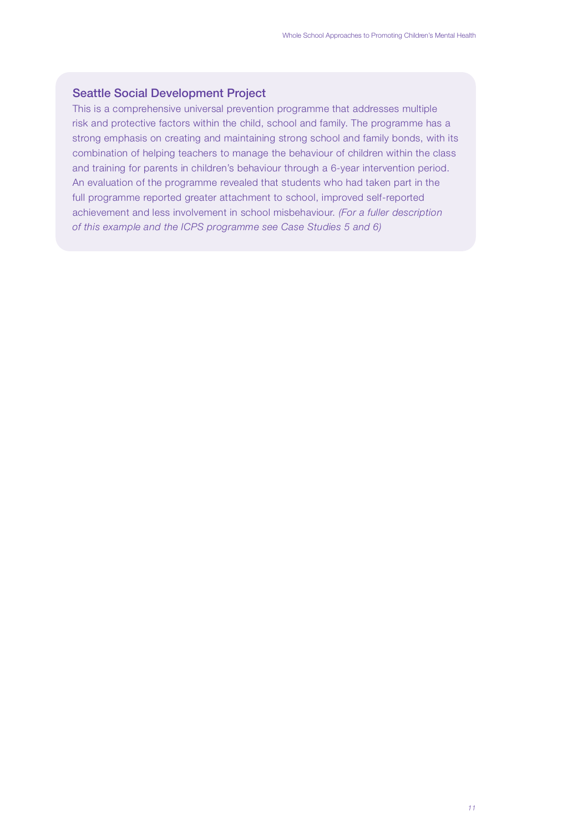## Seattle Social Development Project

This is a comprehensive universal prevention programme that addresses multiple risk and protective factors within the child, school and family. The programme has a strong emphasis on creating and maintaining strong school and family bonds, with its combination of helping teachers to manage the behaviour of children within the class and training for parents in children's behaviour through a 6-year intervention period. An evaluation of the programme revealed that students who had taken part in the full programme reported greater attachment to school, improved self-reported achievement and less involvement in school misbehaviour. *(For a fuller description* of this example and the ICPS programme see Case Studies 5 and 6)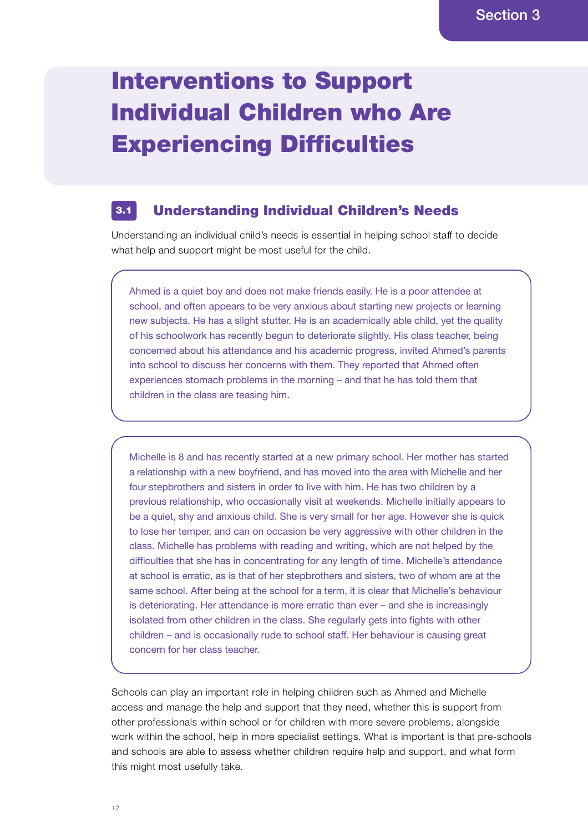# Interventions to Support Individual Children who Are Experiencing Difficulties

#### Understanding Individual Children's Needs 3.1

Understanding an individual child's needs is essential in helping school staff to decide what help and support might be most useful for the child.

Ahmed is a quiet boy and does not make friends easily. He is a poor attendee at school, and often appears to be very anxious about starting new projects or learning new subjects. He has a slight stutter. He is an academically able child, yet the quality of his schoolwork has recently begun to deteriorate slightly. His class teacher, being concerned about his attendance and his academic progress, invited Ahmed's parents into school to discuss her concerns with them. They reported that Ahmed often experiences stomach problems in the morning – and that he has told them that children in the class are teasing him.

Michelle is 8 and has recently started at a new primary school. Her mother has started a relationship with a new boyfriend, and has moved into the area with Michelle and her four stepbrothers and sisters in order to live with him. He has two children by a previous relationship, who occasionally visit at weekends. Michelle initially appears to be a quiet, shy and anxious child. She is very small for her age. However she is quick to lose her temper, and can on occasion be very aggressive with other children in the class. Michelle has problems with reading and writing, which are not helped by the difficulties that she has in concentrating for any length of time. Michelle's attendance at school is erratic, as is that of her stepbrothers and sisters, two of whom are at the same school. After being at the school for a term, it is clear that Michelle's behaviour is deteriorating. Her attendance is more erratic than ever – and she is increasingly isolated from other children in the class. She regularly gets into fights with other children – and is occasionally rude to school staff. Her behaviour is causing great concern for her class teacher.

Schools can play an important role in helping children such as Ahmed and Michelle access and manage the help and support that they need, whether this is support from other professionals within school or for children with more severe problems, alongside work within the school, help in more specialist settings. What is important is that pre-schools and schools are able to assess whether children require help and support, and what form this might most usefully take.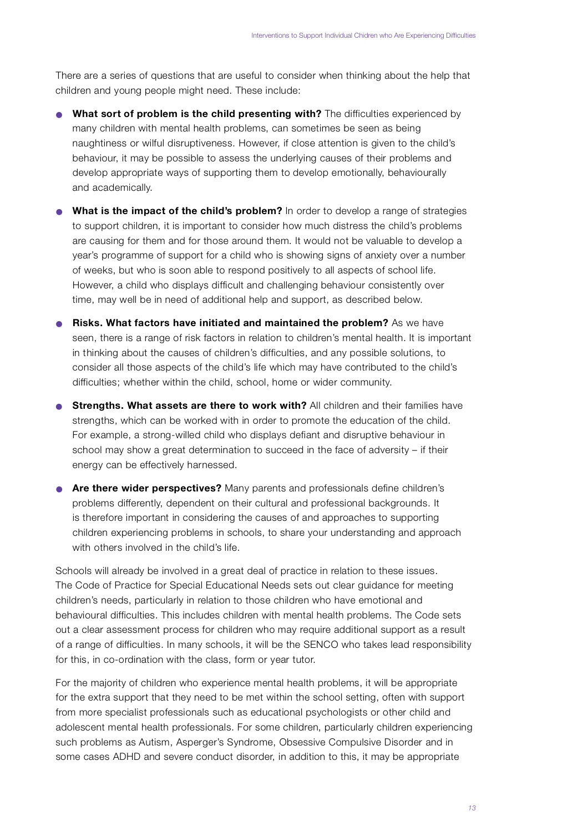There are a series of questions that are useful to consider when thinking about the help that children and young people might need. These include:

- **What sort of problem is the child presenting with?** The difficulties experienced by many children with mental health problems, can sometimes be seen as being naughtiness or wilful disruptiveness. However, if close attention is given to the child's behaviour, it may be possible to assess the underlying causes of their problems and develop appropriate ways of supporting them to develop emotionally, behaviourally and academically.
- **What is the impact of the child's problem?** In order to develop a range of strategies to support children, it is important to consider how much distress the child's problems are causing for them and for those around them. It would not be valuable to develop a y ear's programme of support for a child who is showing signs of anxiety over a number of weeks, but who is soon able to respond positively to all aspects of school life. However, a child who displays difficult and challenging behaviour consistently over time, may well be in need of additional help and support, as described below.
- **Risks. What factors have initiated and maintained the problem?** As we have seen, there is a range of risk factors in relation to children's mental health. It is important in thinking about the causes of children's difficulties, and any possible solutions, to consider all those aspects of the child's life which may have contributed to the child's difficulties; whether within the child, school, home or wider community.
- **Strengths. What assets are there to work with?** All children and their families have strengths, which can be worked with in order to promote the education of the child. For example, a strong-willed child who displays defiant and disruptive behaviour in school may show a great determination to succeed in the face of adversity – if their energy can be effectively harnessed.
- **Are there wider perspectives?** Many parents and professionals define children's problems differently, dependent on their cultural and professional backgrounds. It is therefore important in considering the causes of and approaches to supporting children experiencing problems in schools, to share your understanding and approach with others involved in the child's life.

Schools will already be involved in a great deal of practice in relation to these issues. The Code of Practice for Special Educational Needs sets out clear guidance for meeting children's needs, particularly in relation to those children who have emotional and behavioural difficulties. This includes children with mental health problems. The Code sets out a clear assessment process for children who may require additional support as a result of a range of difficulties. In many schools, it will be the SENCO who takes lead responsibility for this, in co-ordination with the class, form or year tutor.

For the majority of children who experience mental health problems, it will be appropriate for the extra support that they need to be met within the school setting, often with support from more specialist professionals such as educational psychologists or other child and adolescent mental health professionals. For some children, particularly children experiencing such problems as Autism, Asperger's Syndrome, Obsessive Compulsive Disorder and in some cases ADHD and severe conduct disorder, in addition to this, it may be appropriate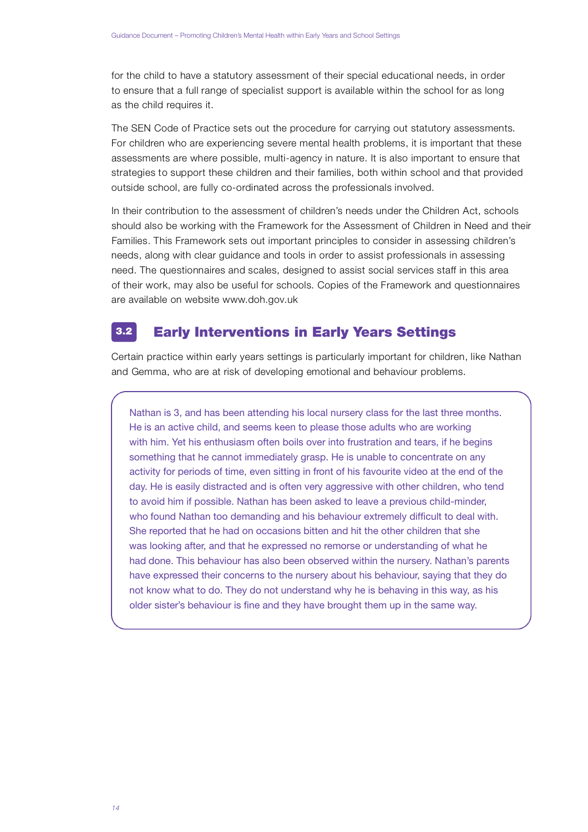for the child to have a statutory assessment of their special educational needs, in order to ensure that a full range of specialist support is available within the school for as long as the child requires it.

The SEN Code of Practice sets out the procedure for carrying out statutory assessments. For children who are experiencing severe mental health problems, it is important that these assessments are where possible, multi-agency in nature. It is also important to ensure that strategies to support these children and their families, both within school and that provided outside school, are fully co-ordinated across the professionals involved.

In their contribution to the assessment of children's needs under the Children Act, schools should also be working with the Framework for the Assessment of Children in Need and their Families. This Framework sets out important principles to consider in assessing children's needs, along with clear guidance and tools in order to assist professionals in assessing need. The questionnaires and scales, designed to assist social services staff in this area of their work, may also be useful for schools. Copies of the Framework and questionnaires are available on website www.doh.gov.uk

#### Early Interventions in Early Years Settings 3.2

Certain practice within early years settings is particularly important for children, like Nathan and Gemma, who are at risk of developing emotional and behaviour problems.

Nathan is 3, and has been attending his local nursery class for the last three months. He is an active child, and seems keen to please those adults who are working with him. Yet his enthusiasm often boils over into frustration and tears, if he begins something that he cannot immediately grasp. He is unable to concentrate on any activity for periods of time, even sitting in front of his favourite video at the end of the day. He is easily distracted and is often very aggressive with other children, who tend to avoid him if possible. Nathan has been asked to leave a previous child-minder, who found Nathan too demanding and his behaviour extremely difficult to deal with. She reported that he had on occasions bitten and hit the other children that she was looking after, and that he expressed no remorse or understanding of what he had done. This behaviour has also been observed within the nursery. Nathan's parents have expressed their concerns to the nursery about his behaviour, saying that they do not know what to do. They do not understand why he is behaving in this way, as his older sister's behaviour is fine and they have brought them up in the same way.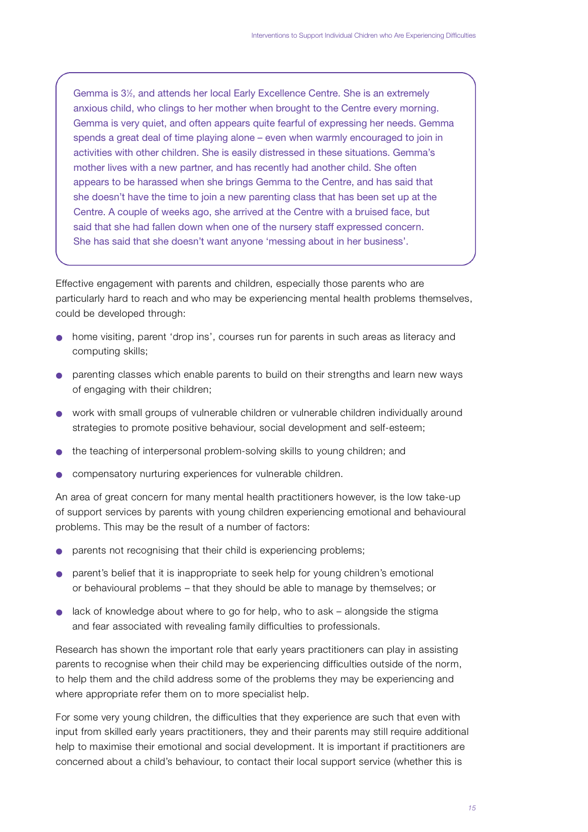Gemma is 3<sup>1</sup> ⁄2, and attends her local Early Excellence Centre. She is an extremely anxious child, who clings to her mother when brought to the Centre every morning. Gemma is very quiet, and often appears quite fearful of expressing her needs. Gemma spends a great deal of time playing alone – even when warmly encouraged to join in activities with other children. She is easily distressed in these situations. Gemma's mother lives with a new partner, and has recently had another child. She often appears to be harassed when she brings Gemma to the Centre, and has said that she doesn't have the time to join a new parenting class that has been set up at the Centre. A couple of weeks ago, she arrived at the Centre with a bruised face, but said that she had fallen down when one of the nursery staff expressed concern. She has said that she doesn't want anyone 'messing about in her business'.

Effective engagement with parents and children, especially those parents who are particularly hard to reach and who may be experiencing mental health problems themselves, could be developed through:

- home visiting, parent 'drop ins', courses run for parents in such areas as literacy and computing skills;
- parenting classes which enable parents to build on their strengths and learn new ways of engaging with their children:
- work with small groups of vulnerable children or vulnerable children individually around strategies to promote positive behaviour, social development and self-esteem;
- the teaching of interpersonal problem-solving skills to young children; and
- compensatory nurturing experiences for vulnerable children.

An area of great concern for many mental health practitioners however, is the low take-up of support services by parents with young children experiencing emotional and behavioural problems. This may be the result of a number of factors:

- parents not recognising that their child is experiencing problems;
- parent's belief that it is inappropriate to seek help for young children's emotional or behavioural problems - that they should be able to manage by themselves; or
- $\bullet$  lack of knowledge about where to go for help, who to ask alongside the stigma and fear associated with revealing family difficulties to professionals.

Research has shown the important role that early years practitioners can play in assisting parents to recognise when their child may be experiencing difficulties outside of the norm, to help them and the child address some of the problems they may be experiencing and where appropriate refer them on to more specialist help.

For some very young children, the difficulties that they experience are such that even with input from skilled early years practitioners, they and their parents may still require additional help to maximise their emotional and social development. It is important if practitioners are concerned about a child's behaviour, to contact their local support service (whether this is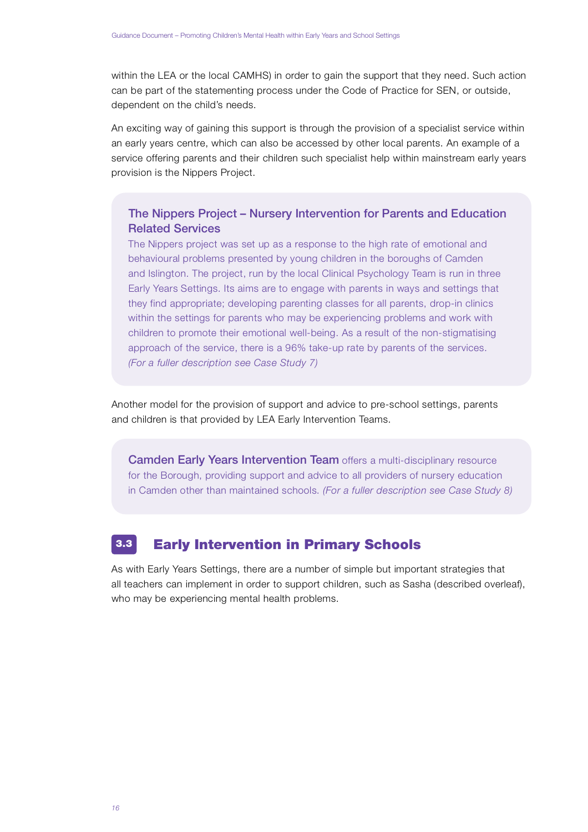within the LEA or the local CAMHS) in order to gain the support that they need. Such action can be part of the statementing process under the Code of Practice for SEN, or outside, dependent on the child's needs.

An exciting way of gaining this support is through the provision of a specialist service within an early years centre, which can also be accessed by other local parents. An example of a service offering parents and their children such specialist help within mainstream early years provision is the Nippers Project.

## The Nippers Project – Nursery Intervention for Parents and Education Related Services

The Nippers project was set up as a response to the high rate of emotional and behavioural problems presented by young children in the boroughs of Camden and Islington. The project, run by the local Clinical Psychology Team is run in three Early Years Settings. Its aims are to engage with parents in ways and settings that they find appropriate; developing parenting classes for all parents, drop-in clinics within the settings for parents who may be experiencing problems and work with children to promote their emotional well-being. As a result of the non-stigmatising approach of the service, there is a 96% take-up rate by parents of the services. *(For a fuller description see Case Study 7)*

Another model for the provision of support and advice to pre-school settings, parents and children is that provided by LEA Early Intervention Teams.

Camden Early Years Intervention Team offers a multi-disciplinary resource for the Borough, providing support and advice to all providers of nursery education in Camden other than maintained schools. *(For a fuller description see Case Study 8)* 

#### Early Intervention in Primary Schools 3.3

As with Early Years Settings, there are a number of simple but important strategies that all teachers can implement in order to support children, such as Sasha (described overleaf), who may be experiencing mental health problems.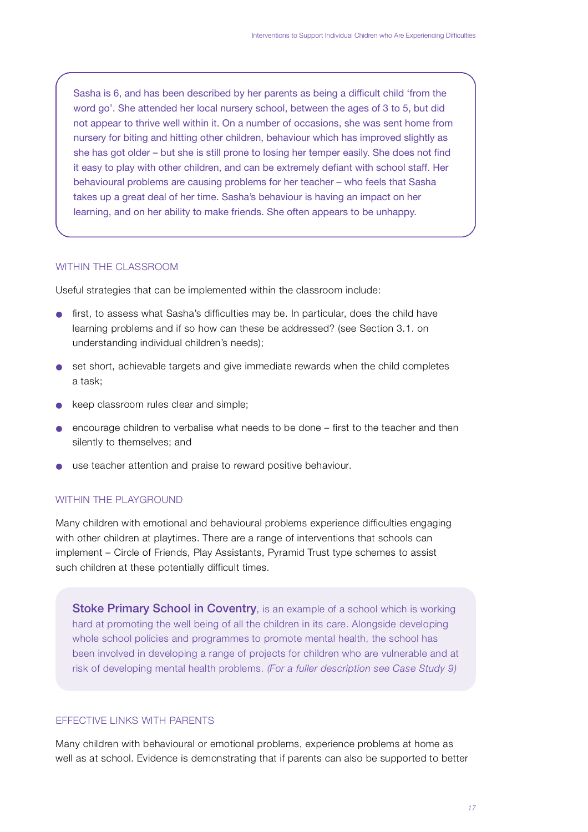Sasha is 6, and has been described by her parents as being a difficult child 'from the word go'. She attended her local nursery school, between the ages of 3 to 5, but did not appear to thrive well within it. On a number of occasions, she was sent home from nursery for biting and hitting other children, behaviour which has improved slightly as she has got older – but she is still prone to losing her temper easily. She does not find it easy to play with other children, and can be extremely defiant with school staff. Her behavioural problems are causing problems for her teacher – who feels that Sasha takes up a great deal of her time. Sasha's behaviour is having an impact on her learning, and on her ability to make friends. She often appears to be unhappy.

### WITHIN THE CLASSROOM

Useful strategies that can be implemented within the classroom include:

- first, to assess what Sasha's difficulties may be. In particular, does the child have learning problems and if so how can these be addressed? (see Section 3.1. on understanding individual children's needs);
- $\bullet$  set short, achievable targets and give immediate rewards when the child completes a task:
- keep classroom rules clear and simple;
- encourage children to verbalise what needs to be done first to the teacher and then silently to themselves; and
- use teacher attention and praise to reward positive behaviour.

#### WITHIN THE PLAYGROUND

Many children with emotional and behavioural problems experience difficulties engaging with other children at playtimes. There are a range of interventions that schools can implement – Circle of Friends, Play Assistants, Pyramid Trust type schemes to assist such children at these potentially difficult times.

**Stoke Primary School in Coventry**, is an example of a school which is working hard at promoting the well being of all the children in its care. Alongside developing whole school policies and programmes to promote mental health, the school has been involved in developing a range of projects for children who are vulnerable and at risk of developing mental health problems. *(For a fuller description see Case Study 9)*

## FFFECTIVE LINKS WITH PARENTS

Many children with behavioural or emotional problems, experience problems at home as well as at school. Evidence is demonstrating that if parents can also be supported to better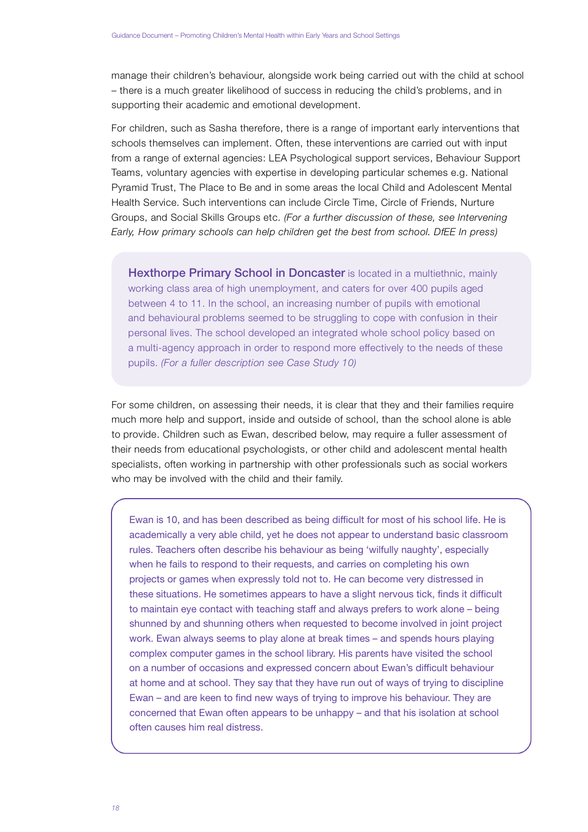manage their children's behaviour, alongside work being carried out with the child at school – there is a much greater likelihood of success in reducing the child's problems, and in supporting their academic and emotional development.

For children, such as Sasha therefore, there is a range of important early interventions that schools themselves can implement. Often, these interventions are carried out with input from a range of external agencies: LEA Psychological support services, Behaviour Support Teams, voluntary agencies with expertise in developing particular schemes e.g. National Pyramid Trust, The Place to Be and in some areas the local Child and Adolescent Mental Health Service. Such interventions can include Circle Time, Circle of Friends, Nurture Groups, and Social Skills Groups etc. *(For a further discussion of these, see Intervening Early, How primary schools can help children get the best from school. DfEE In press)* 

Hexthorpe Primary School in Doncaster is located in a multiethnic, mainly working class area of high unemployment, and caters for over 400 pupils aged between 4 to 11. In the school, an increasing number of pupils with emotional and behavioural problems seemed to be struggling to cope with confusion in their personal lives. The school developed an integrated whole school policy based on a multi-agency approach in order to respond more effectively to the needs of these pupils. *(For a fuller description see Case Study 10)*

For some children, on assessing their needs, it is clear that they and their families require much more help and support, inside and outside of school, than the school alone is able to provide. Children such as Ewan, described below, may require a fuller assessment of their needs from educational psychologists, or other child and adolescent mental health specialists, often working in partnership with other professionals such as social workers who may be involved with the child and their family.

Ewan is 10, and has been described as being difficult for most of his school life. He is academically a very able child, yet he does not appear to understand basic classroom rules. Teachers often describe his behaviour as being 'wilfully naughty', especially when he fails to respond to their requests, and carries on completing his own projects or games when expressly told not to. He can become very distressed in these situations. He sometimes appears to have a slight nervous tick, finds it difficult to maintain eye contact with teaching staff and always prefers to work alone – being shunned by and shunning others when requested to become involved in joint project work. Ewan always seems to play alone at break times – and spends hours playing complex computer games in the school library. His parents have visited the school on a number of occasions and expressed concern about Ewan's difficult behaviour at home and at school. They say that they have run out of ways of trying to discipline Ewan – and are keen to find new ways of trying to improve his behaviour. They are concerned that Ewan often appears to be unhappy – and that his isolation at school often causes him real distress.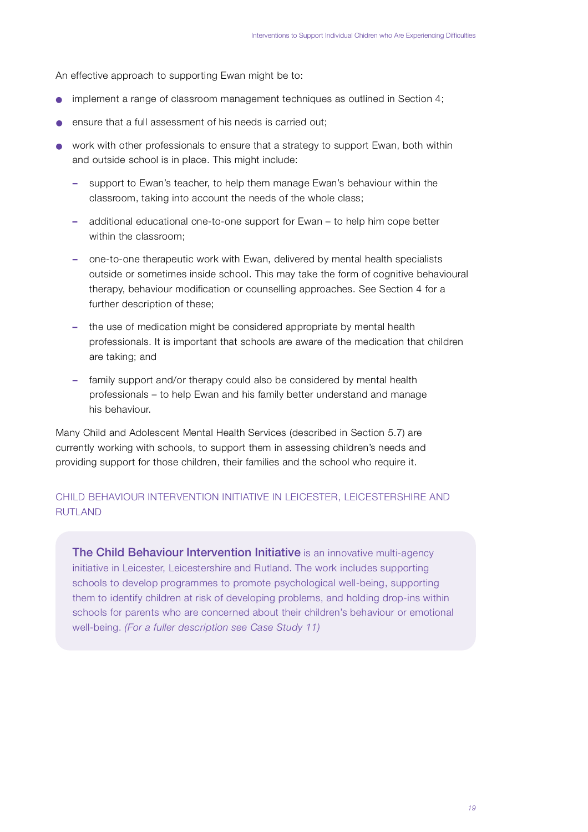An effective approach to supporting Ewan might be to:

- implement a range of classroom management techniques as outlined in Section 4;
- ensure that a full assessment of his needs is carried out:
- work with other professionals to ensure that a strategy to support Ewan, both within and outside school is in place. This might include:
	- support to Ewan's teacher, to help them manage Ewan's behaviour within the classroom, taking into account the needs of the whole class;
	- **–** additional educational one-to-one support for Ewan to help him cope better within the classroom:
	- **–** one-to-one therapeutic work with Ewan, delivered by mental health specialists outside or sometimes inside school. This may take the form of cognitive behavioural therapy, behaviour modification or counselling approaches. See Section 4 for a further description of these;
	- **–** the use of medication might be considered appropriate by mental health professionals. It is important that schools are aware of the medication that children are taking; and
	- **–** family support and/or therapy could also be considered by mental health p rofessionals – to help Ewan and his family better understand and manage his behaviour.

Many Child and Adolescent Mental Health Services (described in Section 5.7) are currently working with schools, to support them in assessing children's needs and providing support for those children, their families and the school who require it.

## CHILD BEHAVIOUR INTERVENTION INITIATIVE IN LEICESTER, LEICESTERSHIRE AND **RUTLAND**

**The Child Behaviour Intervention Initiative** is an innovative multi-agency initiative in Leicester, Leicestershire and Rutland. The work includes supporting schools to develop programmes to promote psychological well-being, supporting them to identify children at risk of developing problems, and holding drop-ins within schools for parents who are concerned about their children's behaviour or emotional well-being. *(For a fuller description see Case Study 11)*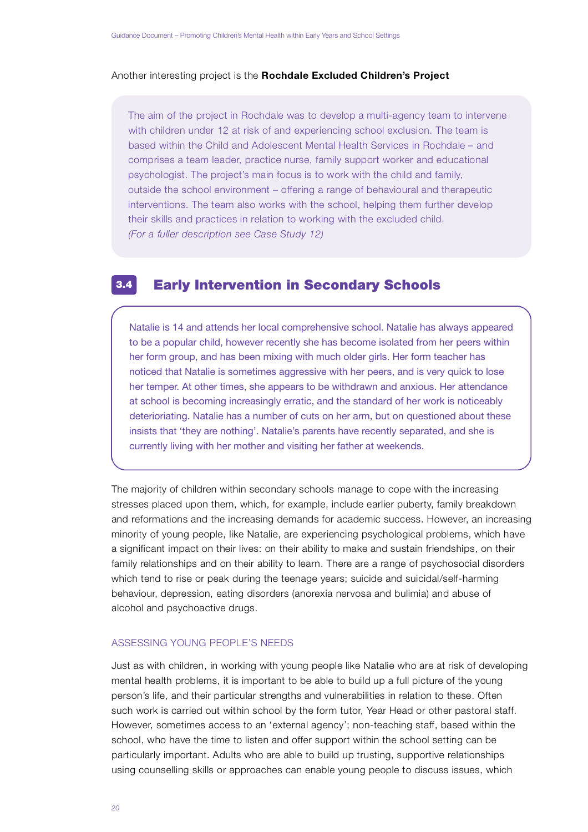#### Another interesting project is the Rochdale Excluded Children's Project

The aim of the project in Rochdale was to develop a multi-agency team to intervene with children under 12 at risk of and experiencing school exclusion. The team is based within the Child and Adolescent Mental Health Services in Rochdale – and comprises a team leader, practice nurse, family support worker and educational psychologist. The project's main focus is to work with the child and family, outside the school environment – offering a range of behavioural and therapeutic interventions. The team also works with the school, helping them further develop their skills and practices in relation to working with the excluded child. *(For a fuller description see Case Study 12)*

#### Early Intervention in Secondary Schools 3.4

Natalie is 14 and attends her local comprehensive school. Natalie has always appeared to be a popular child, however recently she has become isolated from her peers within her form group, and has been mixing with much older girls. Her form teacher has noticed that Natalie is sometimes aggressive with her peers, and is very quick to lose her temper. At other times, she appears to be withdrawn and anxious. Her attendance at school is becoming increasingly erratic, and the standard of her work is noticeably deterioriating. Natalie has a number of cuts on her arm, but on questioned about these insists that 'they are nothing'. Natalie's parents have recently separated, and she is currently living with her mother and visiting her father at weekends.

The majority of children within secondary schools manage to cope with the increasing stresses placed upon them, which, for example, include earlier puberty, family break down and reformations and the increasing demands for academic success. However, an increasing minority of young people, like Natalie, are experiencing psychological problems, which have a significant impact on their lives: on their ability to make and sustain friendships, on their family relationships and on their ability to learn. There are a range of psychosocial disorders which tend to rise or peak during the teenage years; suicide and suicidal/self-harming behaviour, depression, eating disorders (anorexia nervosa and bulimia) and abuse of alcohol and psychoactive drugs.

## ASSESSING YOUNG PEOPLE'S NEEDS

Just as with children, in working with young people like Natalie who are at risk of developing mental health problems, it is important to be able to build up a full picture of the young person's life, and their particular strengths and vulnerabilities in relation to these. Often such work is carried out within school by the form tutor, Year Head or other pastoral staff. However, sometimes access to an 'external agency'; non-teaching staff, based within the school, who have the time to listen and offer support within the school setting can be particularly important. Adults who are able to build up trusting, supportive relationships using counselling skills or approaches can enable young people to discuss issues, which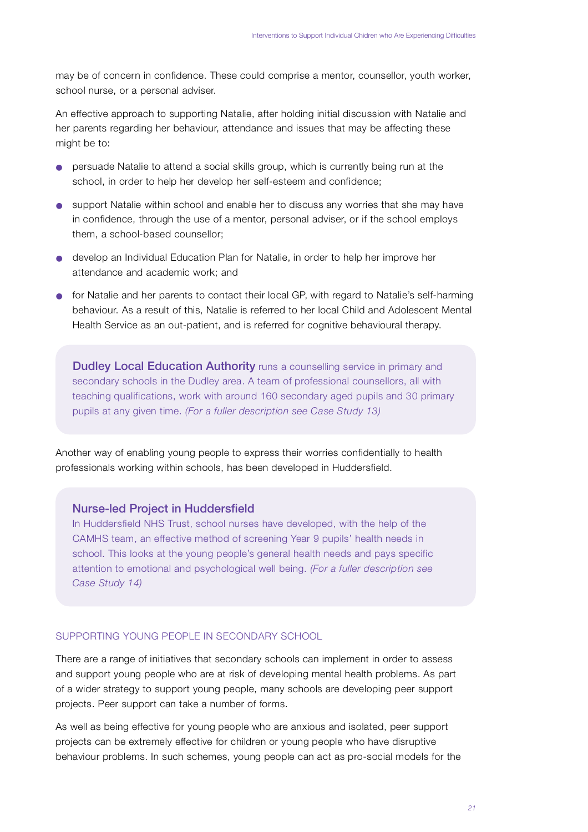may be of concern in confidence. These could comprise a mentor, counsellor, youth worker, school nurse, or a personal adviser.

An effective approach to supporting Natalie, after holding initial discussion with Natalie and her parents regarding her behaviour, attendance and issues that may be affecting these might be to:

- persuade Natalie to attend a social skills group, which is currently being run at the school, in order to help her develop her self-esteem and confidence;
- support Natalie within school and enable her to discuss any worries that she may have in confidence, through the use of a mentor, personal adviser, or if the school employs them, a school-based counsellor;
- develop an Individual Education Plan for Natalie, in order to help her improve her attendance and academic work; and
- for Natalie and her parents to contact their local GP, with regard to Natalie's self-harming behaviour. As a result of this, Natalie is referred to her local Child and Adolescent Mental Health Service as an out-patient, and is referred for cognitive behavioural therapy.

**Dudley Local Education Authority** runs a counselling service in primary and secondary schools in the Dudley area. A team of professional counsellors, all with teaching qualifications, work with around 160 secondary aged pupils and 30 primary pupils at any given time. *(For a fuller description see Case Study 13)*

Another way of enabling young people to express their worries confidentially to health p rofessionals working within schools, has been developed in Huddersfield.

## Nurse-led Project in Huddersfield

In Huddersfield NHS Trust, school nurses have developed, with the help of the CAMHS team, an effective method of screening Year 9 pupils' health needs in school. This looks at the young people's general health needs and pays specific attention to emotional and psychological well being. *(For a fuller description see Case Study 14)* 

## SUPPORTING YOUNG PEOPLE IN SECONDARY SCHOOL

There are a range of initiatives that secondary schools can implement in order to assess and support young people who are at risk of developing mental health problems. As part of a wider strategy to support young people, many schools are developing peer support projects. Peer support can take a number of forms.

As well as being effective for young people who are anxious and isolated, peer support projects can be extremely effective for children or young people who have disruptive behaviour problems. In such schemes, young people can act as pro-social models for the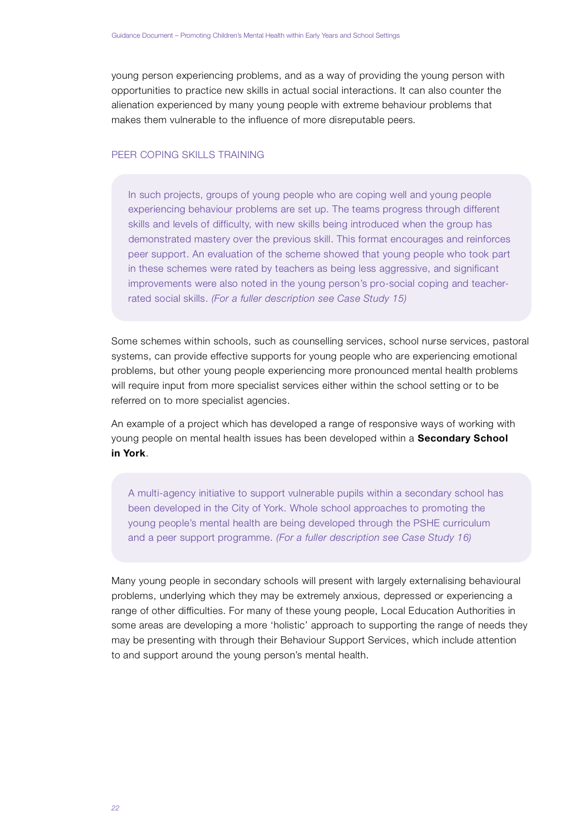young person experiencing problems, and as a way of providing the young person with opportunities to practice new skills in actual social interactions. It can also counter the alienation experienced by many young people with extreme behaviour problems that makes them vulnerable to the influence of more disreputable peers.

## PFFR COPING SKILLS TRAINING

In such projects, groups of young people who are coping well and young people experiencing behaviour problems are set up. The teams progress through different skills and levels of difficulty, with new skills being introduced when the group has demonstrated mastery over the previous skill. This format encourages and reinforces peer support. An evaluation of the scheme showed that young people who took part in these schemes were rated by teachers as being less aggressive, and significant improvements were also noted in the young person's pro-social coping and teacherrated social skills. *(For a fuller description see Case Study 15)*

Some schemes within schools, such as counselling services, school nurse services, pastoral systems, can provide effective supports for young people who are experiencing emotional problems, but other young people experiencing more pronounced mental health problems will require input from more specialist services either within the school setting or to be referred on to more specialist agencies.

An example of a project which has developed a range of responsive ways of working with young people on mental health issues has been developed within a **Secondary School in York**.

A multi-agency initiative to support vulnerable pupils within a secondary school has been developed in the City of York. Whole school approaches to promoting the young people's mental health are being developed through the PSHE curriculum and a peer support programme. *(For a fuller description see Case Study 16)* 

Many young people in secondary schools will present with largely externalising behavioural p roblems, underlying which they may be extremely anxious, depressed or experiencing a range of other difficulties. For many of these young people, Local Education Authorities in some areas are developing a more 'holistic' approach to supporting the range of needs they may be presenting with through their Behaviour Support Services, which include attention to and support around the young person's mental health.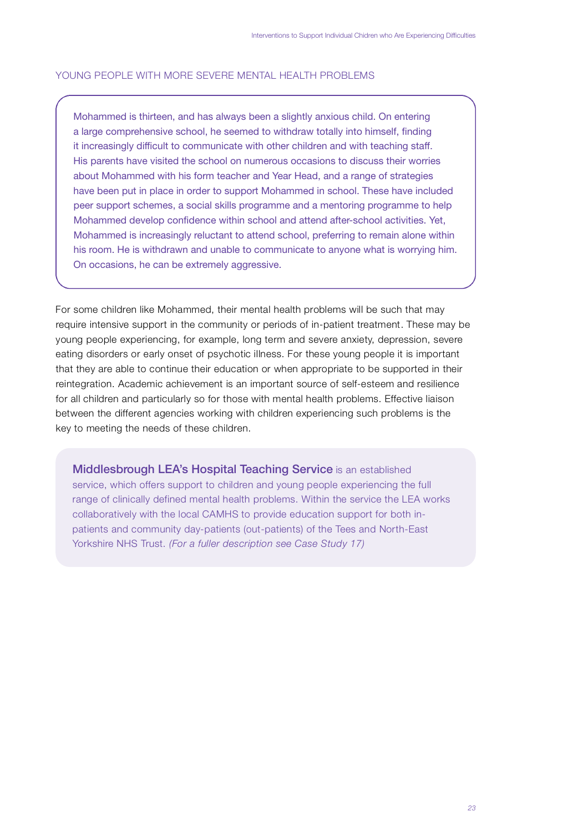### YOUNG PEOPLE WITH MORE SEVERE MENTAL HEALTH PROBLEMS.

Mohammed is thirteen, and has always been a slightly anxious child. On entering a large comprehensive school, he seemed to withdraw totally into himself, finding it increasingly difficult to communicate with other children and with teaching staff. His parents have visited the school on numerous occasions to discuss their worries about Mohammed with his form teacher and Year Head, and a range of strategies have been put in place in order to support Mohammed in school. These have included peer support schemes, a social skills programme and a mentoring programme to help Mohammed develop confidence within school and attend after-school activities. Yet, Mohammed is increasingly reluctant to attend school, preferring to remain alone within his room. He is withdrawn and unable to communicate to anyone what is worrying him. On occasions, he can be extremely aggressive.

For some children like Mohammed, their mental health problems will be such that may require intensive support in the community or periods of in-patient treatment. These may be young people experiencing, for example, long term and severe anxiety, depression, severe eating disorders or early onset of psychotic illness. For these young people it is important that they are able to continue their education or when appropriate to be supported in their reintegration. Academic achievement is an important source of self-esteem and resilience for all children and particularly so for those with mental health problems. Effective liaison between the different agencies working with children experiencing such problems is the key to meeting the needs of these children.

**Middlesbrough LEA's Hospital Teaching Service** is an established service, which offers support to children and young people experiencing the full range of clinically defined mental health problems. Within the service the LEA works collaboratively with the local CAMHS to provide education support for both inpatients and community day-patients (out-patients) of the Tees and North-East Yorkshire NHS Trust. *(For a fuller description see Case Study 17)*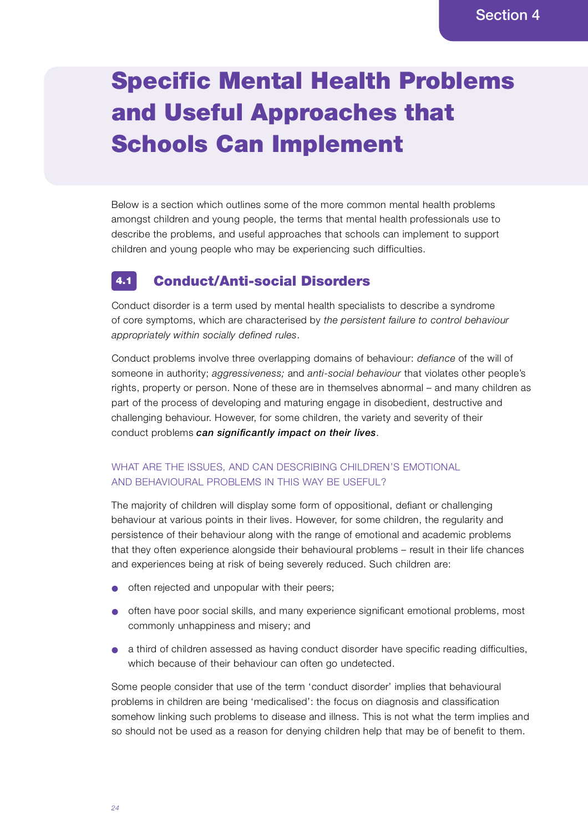# Specific Mental Health Problems and Useful Approaches that Schools Can Implement

Below is a section which outlines some of the more common mental health problems amongst children and young people, the terms that mental health professionals use to describe the problems, and useful approaches that schools can implement to support children and young people who may be experiencing such difficulties.

#### Conduct/Anti-social Disorders 4.1

Conduct disorder is a term used by mental health specialists to describe a syndrome of core symptoms, which are characterised by *the persistent failure to control behaviour* appropriately within socially defined rules.

Conduct problems involve three overlapping domains of behaviour: *defiance* of the will of someone in authority; *aggressiveness;* and *anti-social behaviour* that violates other people's rights, property or person. None of these are in themselves abnormal – and many children as part of the process of developing and maturing engage in disobedient, destructive and challenging behaviour. However, for some children, the variety and severity of their conduct problems *can significantly impact on their lives*.

## WHAT ARE THE ISSUES, AND CAN DESCRIBING CHILDREN'S EMOTIONAL AND BEHAVIOURAL PROBLEMS IN THIS WAY BE USEFUL?

The majority of children will display some form of oppositional, defiant or challenging behaviour at various points in their lives. However, for some children, the regularity and persistence of their behaviour along with the range of emotional and academic problems that they often experience alongside their behavioural problems – result in their life chances and experiences being at risk of being severely reduced. Such children are :

- often rejected and unpopular with their peers;
- often have poor social skills, and many experience significant emotional problems, most commonly unhappiness and misery; and
- a third of children assessed as having conduct disorder have specific reading difficulties, which because of their behaviour can often go undetected.

Some people consider that use of the term 'conduct disorder' implies that behavioural p roblems in children are being 'medicalised': the focus on diagnosis and classification somehow linking such problems to disease and illness. This is not what the term implies and so should not be used as a reason for denying children help that may be of benefit to them.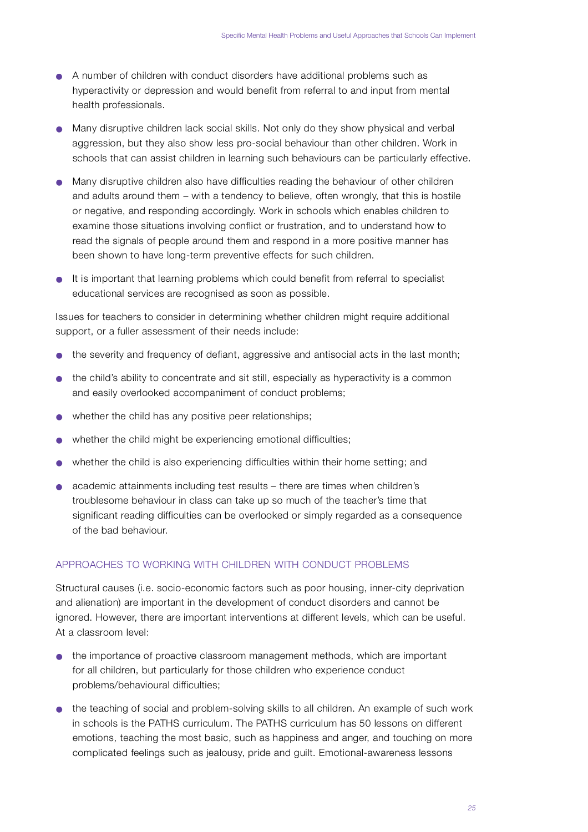- A number of children with conduct disorders have additional problems such as hyperactivity or depression and would benefit from referral to and input from mental health professionals.
- Many disruptive children lack social skills. Not only do they show physical and verbal aggression, but they also show less pro-social behaviour than other children. Work in schools that can assist children in learning such behaviours can be particularly effective.
- Many disruptive children also have difficulties reading the behaviour of other children and adults around them – with a tendency to believe, often wrongly, that this is hostile or negative, and responding accordingly. Work in schools which enables children to examine those situations involving conflict or frustration, and to understand how to read the signals of people around them and respond in a more positive manner has been shown to have long-term preventive effects for such children.
- $\bullet$  It is important that learning problems which could benefit from referral to specialist educational services are recognised as soon as possible.

Issues for teachers to consider in determining whether children might require additional support, or a fuller assessment of their needs include:

- $\bullet$  the severity and frequency of defiant, aggressive and antisocial acts in the last month;
- the child's ability to concentrate and sit still, especially as hyperactivity is a common and easily overlooked accompaniment of conduct problems;
- whether the child has any positive peer relationships;
- $\bullet$  whether the child might be experiencing emotional difficulties;
- whether the child is also experiencing difficulties within their home setting; and
- $\bullet$  academic attainments including test results there are times when children's troublesome behaviour in class can take up so much of the teacher's time that significant reading difficulties can be overlooked or simply regarded as a consequence of the bad behaviour.

## APPROACHES TO WORKING WITH CHILDREN WITH CONDUCT PROBLEMS

Structural causes (i.e. socio-economic factors such as poor housing, inner-city deprivation and alienation) are important in the development of conduct disorders and cannot be ignored. However, there are important interventions at different levels, which can be useful. At a classroom level:

- $\bullet$  the importance of proactive classroom management methods, which are important for all children, but particularly for those children who experience conduct problems/behavioural difficulties;
- the teaching of social and problem-solving skills to all children. An example of such work in schools is the PATHS curriculum. The PATHS curriculum has 50 lessons on different emotions, teaching the most basic, such as happiness and anger, and touching on more complicated feelings such as jealousy, pride and guilt. Emotional-awareness lessons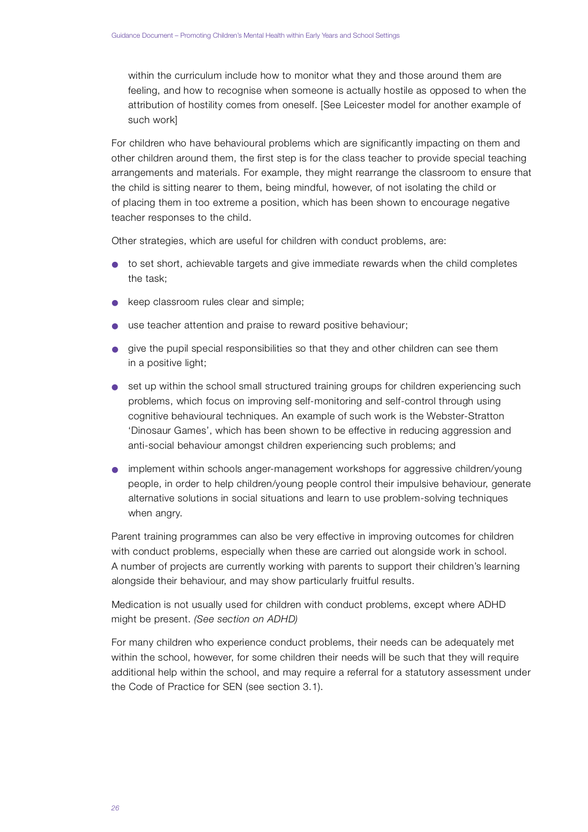within the curriculum include how to monitor what they and those around them are feeling, and how to recognise when someone is actually hostile as opposed to when the attribution of hostility comes from oneself. [See Leicester model for another example of such work]

For children who have behavioural problems which are significantly impacting on them and other children around them, the first step is for the class teacher to provide special teaching arrangements and materials. For example, they might rearrange the classroom to ensure that the child is sitting nearer to them, being mindful, however, of not isolating the child or of placing them in too extreme a position, which has been shown to encourage negative teacher responses to the child.

Other strategies, which are useful for children with conduct problems, are :

- to set short, achievable targets and give immediate rewards when the child completes the task;
- keep classroom rules clear and simple;
- use teacher attention and praise to reward positive behaviour;
- give the pupil special responsibilities so that they and other children can see them in a positive light;
- set up within the school small structured training groups for children experiencing such p roblems, which focus on improving self-monitoring and self-control through using cognitive behavioural techniques. An example of such work is the Webster-Stratton 'Dinosaur Games', which has been shown to be effective in reducing aggression and anti-social behaviour amongst children experiencing such problems; and
- implement within schools anger-management workshops for aggressive children/young people, in order to help children/young people control their impulsive behaviour, generate alternative solutions in social situations and learn to use problem-solving techniques when angry.

Parent training programmes can also be very effective in improving outcomes for children with conduct problems, especially when these are carried out alongside work in school. A number of projects are currently working with parents to support their children's learning alongside their behaviour, and may show particularly fruitful results.

Medication is not usually used for children with conduct problems, except where ADHD might be present. *(See section on ADHD)* 

For many children who experience conduct problems, their needs can be adequately met within the school, however, for some children their needs will be such that they will require additional help within the school, and may require a referral for a statutory assessment under the Code of Practice for SEN (see section 3.1).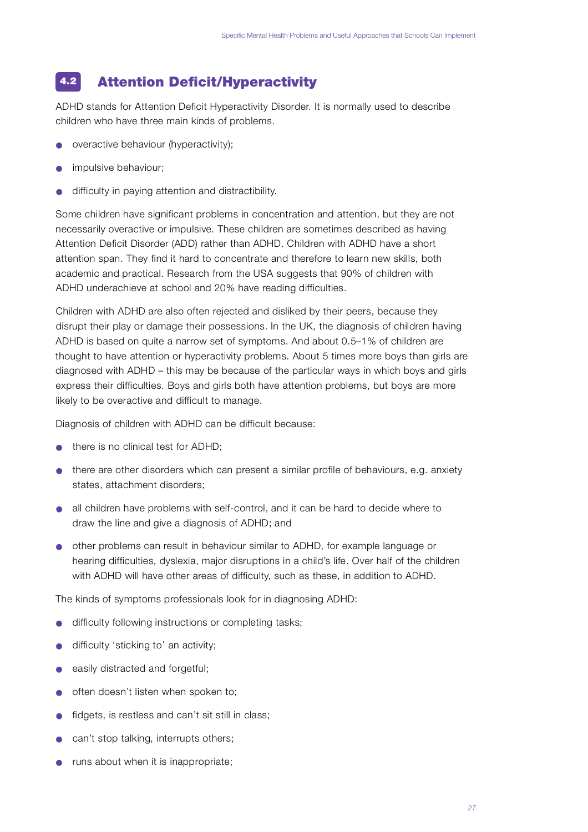#### Attention Deficit/Hyperactivity 4.2

ADHD stands for Attention Deficit Hyperactivity Disorder. It is normally used to describe children who have three main kinds of problems.

- overactive behaviour (hyperactivity);
- impulsive behaviour;
- difficulty in paying attention and distractibility.

Some children have significant problems in concentration and attention, but they are not necessarily overactive or impulsive. These children are sometimes described as having Attention Deficit Disorder (ADD) rather than ADHD. Children with ADHD have a short attention span. They find it hard to concentrate and therefore to learn new skills, both academic and practical. Research from the USA suggests that 90% of children with ADHD underachieve at school and 20% have reading difficulties.

Children with ADHD are also often rejected and disliked by their peers, because they disrupt their play or damage their possessions. In the UK, the diagnosis of children having ADHD is based on quite a narrow set of symptoms. And about 0.5–1% of children are thought to have attention or hyperactivity problems. About 5 times more boys than girls are diagnosed with ADHD – this may be because of the particular ways in which boys and girls express their difficulties. Boys and girls both have attention problems, but boys are more likely to be overactive and difficult to manage.

Diagnosis of children with ADHD can be difficult because:

- there is no clinical test for ADHD:
- $\bullet$  there are other disorders which can present a similar profile of behaviours, e.g. anxiety states, attachment disorders;
- all children have problems with self-control, and it can be hard to decide where to draw the line and give a diagnosis of ADHD; and
- other problems can result in behaviour similar to ADHD, for example language or hearing difficulties, dyslexia, major disruptions in a child's life. Over half of the children with ADHD will have other areas of difficulty, such as these, in addition to ADHD.

The kinds of symptoms professionals look for in diagnosing ADHD:

- difficulty following instructions or completing tasks;
- difficulty 'sticking to' an activity;
- easily distracted and forgetful:
- often doesn't listen when spoken to;
- fidgets, is restless and can't sit still in class;
- can't stop talking, interrupts others;
- runs about when it is inappropriate;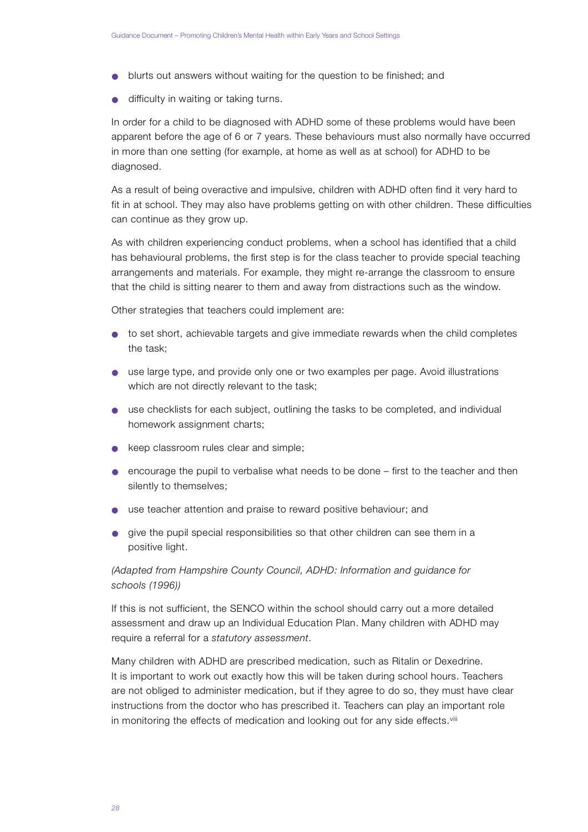- blurts out answers without waiting for the question to be finished; and
- $\bullet$  difficulty in waiting or taking turns.

In order for a child to be diagnosed with ADHD some of these problems would have been apparent before the age of 6 or 7 years. These behaviours must also normally have occurred in more than one setting (for example, at home as well as at school) for ADHD to be diagnosed.

As a result of being overactive and impulsive, children with ADHD often find it very hard to fit in at school. They may also have problems getting on with other children. These difficulties can continue as they grow up.

As with children experiencing conduct problems, when a school has identified that a child has behavioural problems, the first step is for the class teacher to provide special teaching arrangements and materials. For example, they might re-arrange the classroom to ensure that the child is sitting nearer to them and away from distractions such as the window.

Other strategies that teachers could implement are :

- to set short, achievable targets and give immediate rewards when the child completes the task;
- use large type, and provide only one or two examples per page. Avoid illustrations which are not directly relevant to the task;
- use checklists for each subject, outlining the tasks to be completed, and individual homework assignment charts;
- keep classroom rules clear and simple;
- encourage the pupil to verbalise what needs to be done first to the teacher and then silently to themselves;
- use teacher attention and praise to reward positive behaviour; and
- give the pupil special responsibilities so that other children can see them in a positive light.

## *(Adapted from Hampshire County Council, ADHD: Information and guidance for s c h o o l s ( 1 9 9 6 ) )*

If this is not sufficient, the SENCO within the school should carry out a more detailed assessment and draw up an Individual Education Plan. Many children with ADHD may require a referral for a *statutory* assessment.

Many children with ADHD are prescribed medication, such as Ritalin or Dexedrine. It is important to work out exactly how this will be taken during school hours. Teachers are not obliged to administer medication, but if they agree to do so, they must have clear in structions from the doctor who has prescribed it. Teachers can play an important role in monitoring the effects of medication and looking out for any side effects.<sup>viii</sup>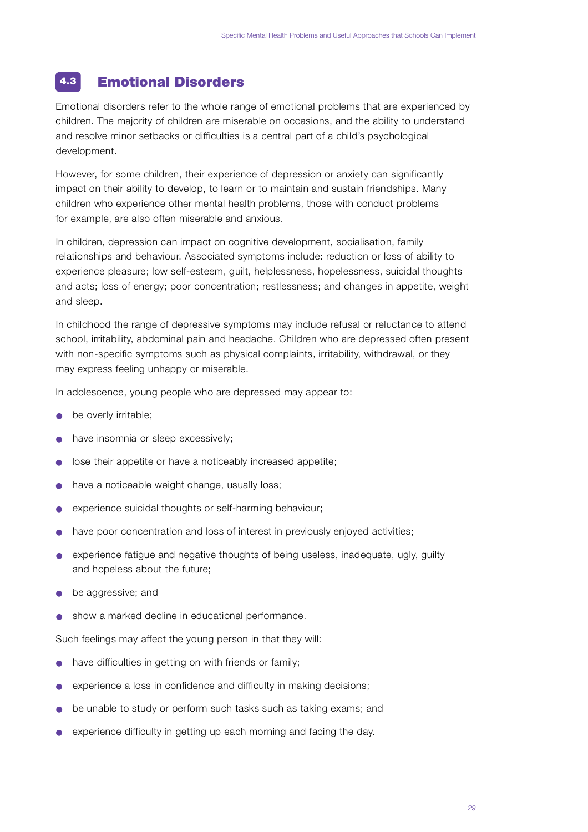#### Emotional Disorders 4.3

Emotional disorders refer to the whole range of emotional problems that are experienced by children. The majority of children are miserable on occasions, and the ability to understand and resolve minor setbacks or difficulties is a central part of a child's psychological development.

However, for some children, their experience of depression or anxiety can significantly impact on their ability to develop, to learn or to maintain and sustain friendships. Many children who experience other mental health problems, those with conduct problems for example, are also often miserable and anxious.

In children, depression can impact on cognitive development, socialisation, family relationships and behaviour. Associated symptoms include: reduction or loss of ability to experience pleasure; low self-esteem, guilt, helplessness, hopelessness, suicidal thoughts and acts; loss of energy; poor concentration; restlessness; and changes in appetite, weight and sleep.

In childhood the range of depressive symptoms may include refusal or reluctance to attend school, irritability, abdominal pain and headache. Children who are depressed often present with non-specific symptoms such as physical complaints, irritability, withdrawal, or they may express feeling unhappy or miserable.

In adolescence, young people who are depressed may appear to:

- be overly irritable;
- have insomnia or sleep excessively;
- lose their appetite or have a noticeably increased appetite;
- have a noticeable weight change, usually loss;
- experience suicidal thoughts or self-harming behaviour;
- have poor concentration and loss of interest in previously enjoyed activities;
- experience fatigue and negative thoughts of being useless, inadequate, ugly, guilty and hopeless about the future;
- be aggressive; and
- show a marked decline in educational performance.

Such feelings may affect the young person in that they will:

- have difficulties in getting on with friends or family;
- experience a loss in confidence and difficulty in making decisions;
- $\bullet$  be unable to study or perform such tasks such as taking exams; and
- experience difficulty in getting up each morning and facing the day.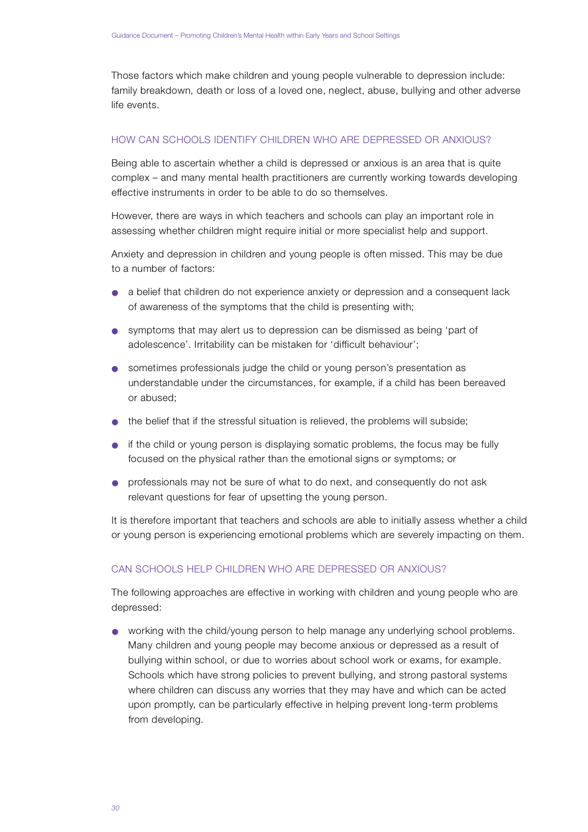Those factors which make children and young people vulnerable to depression include: family breakdown, death or loss of a loved one, neglect, abuse, bullying and other adverse life events.

## HOW CAN SCHOOLS IDENTIFY CHILDREN WHO ARE DEPRESSED OR ANXIOUS?

Being able to ascertain whether a child is depressed or anxious is an area that is quite complex – and many mental health practitioners are currently working towards developing effective instruments in order to be able to do so themselves.

However, there are ways in which teachers and schools can play an important role in assessing whether children might require initial or more specialist help and support.

Anxiety and depression in children and young people is often missed. This may be due to a number of factors:

- a belief that children do not experience anxiety or depression and a consequent lack of awareness of the symptoms that the child is presenting with;
- symptoms that may alert us to depression can be dismissed as being 'part of adolescence'. Irritability can be mistaken for 'difficult behaviour';
- sometimes professionals judge the child or young person's presentation as understandable under the circumstances, for example, if a child has been bereaved or abused:
- $\bullet$  the belief that if the stressful situation is relieved, the problems will subside;
- if the child or young person is displaying somatic problems, the focus may be fully focused on the physical rather than the emotional signs or symptoms; or
- professionals may not be sure of what to do next, and consequently do not ask relevant questions for fear of upsetting the young person.

It is therefore important that teachers and schools are able to initially assess whether a child or young person is experiencing emotional problems which are severely impacting on them.

## CAN SCHOOLS HELP CHILDREN WHO ARE DEPRESSED OR ANXIOUS?

The following approaches are effective in working with children and young people who are depressed:

• working with the child/young person to help manage any underlying school problems. Many children and young people may become anxious or depressed as a result of bullying within school, or due to worries about school work or exams, for example. Schools which have strong policies to prevent bullying, and strong pastoral systems where children can discuss any worries that they may have and which can be acted upon promptly, can be particularly effective in helping prevent long-term problems from developing.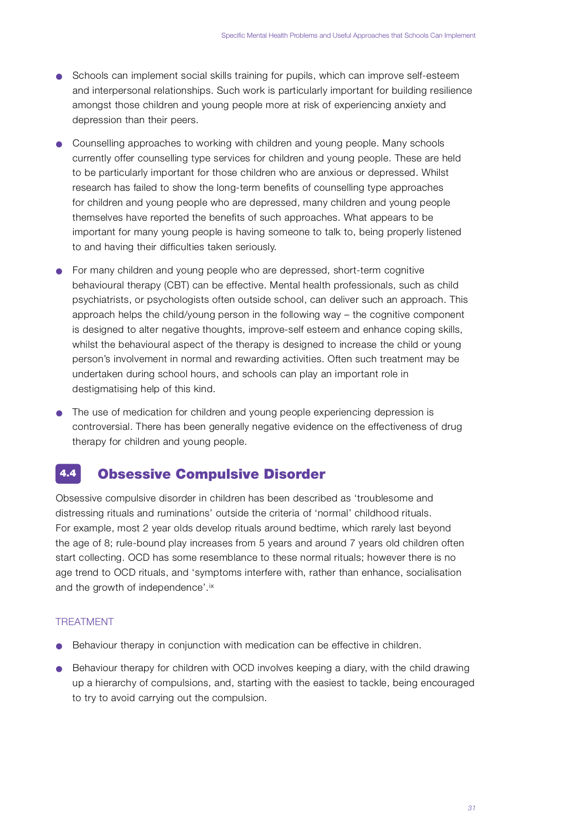- Schools can implement social skills training for pupils, which can improve self-esteem and interpersonal relationships. Such work is particularly important for building resilience amongst those children and young people more at risk of experiencing anxiety and depression than their peers.
- Counselling approaches to working with children and young people. Many schools currently offer counselling type services for children and young people. These are held to be particularly important for those children who are anxious or depressed. Whilst research has failed to show the long-term benefits of counselling type approaches for children and young people who are depressed, many children and young people themselves have reported the benefits of such approaches. What appears to be important for many young people is having someone to talk to, being properly listened to and having their difficulties taken seriously.
- $\bullet$  For many children and young people who are depressed, short-term cognitive behavioural therapy (CBT) can be effective. Mental health professionals, such as child psychiatrists, or psychologists often outside school, can deliver such an approach. This approach helps the child/young person in the following way  $-$  the cognitive component is designed to alter negative thoughts, improve-self esteem and enhance coping skills, whilst the behavioural aspect of the therapy is designed to increase the child or young person's involvement in normal and rewarding activities. Often such treatment may be undertaken during school hours, and schools can play an important role in destigmatising help of this kind.
- The use of medication for children and young people experiencing depression is controversial. There has been generally negative evidence on the effectiveness of drug therapy for children and young people.

#### Obsessive Compulsive Disorder 4.4

Obsessive compulsive disorder in children has been described as 'troublesome and distressing rituals and ruminations' outside the criteria of 'normal' childhood rituals. For example, most 2 year olds develop rituals around bedtime, which rarely last beyond the age of 8; rule-bound play increases from 5 years and around 7 years old children often start collecting. OCD has some resemblance to these normal rituals; however there is no age trend to OCD rituals, and 'symptoms interfere with, rather than enhance, socialisation and the growth of independence'.ix

## **TREATMENT**

- Behaviour therapy in conjunction with medication can be effective in children.
- Behaviour therapy for children with OCD involves keeping a diary, with the child drawing up a hierarchy of compulsions, and, starting with the easiest to tackle, being encouraged to try to avoid carrying out the compulsion.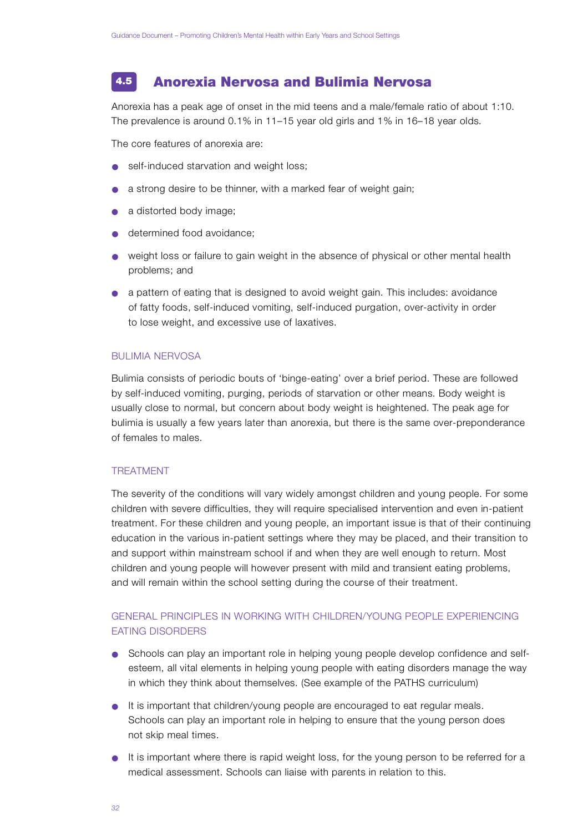#### Anorexia Nervosa and Bulimia Nervosa 4.5

Anorexia has a peak age of onset in the mid teens and a male/female ratio of about 1:10. The prevalence is around  $0.1\%$  in 11–15 year old girls and 1% in 16–18 year olds.

The core features of anorexia are :

- self-induced starvation and weight loss;
- a strong desire to be thinner, with a marked fear of weight gain;
- a distorted body image;
- determined food avoidance:
- weight loss or failure to gain weight in the absence of physical or other mental health p roblems; and
- a pattern of eating that is designed to avoid weight gain. This includes: avoidance of fatty foods, self-induced vomiting, self-induced purgation, over-activity in order to lose weight, and excessive use of laxatives.

#### **BULIMIA NERVOSA**

Bulimia consists of periodic bouts of 'binge-eating' over a brief period. These are followed by self-induced vomiting, purging, periods of starvation or other means. Body weight is usually close to normal, but concern about body weight is heightened. The peak age for bulimia is usually a few years later than anorexia, but there is the same over-preponderance of females to males.

#### **TREATMENT**

The severity of the conditions will vary widely amongst children and young people. For some children with severe difficulties, they will require specialised intervention and even in-patient treatment. For these children and young people, an important issue is that of their continuing education in the various in-patient settings where they may be placed, and their transition to and support within mainstream school if and when they are well enough to return. Most children and young people will however present with mild and transient eating problems, and will remain within the school setting during the course of their treatment.

## GENERAL PRINCIPLES IN WORKING WITH CHILDREN/YOUNG PEOPLE EXPERIENCING EATING DISORDERS

- Schools can play an important role in helping young people develop confidence and selfesteem, all vital elements in helping young people with eating disorders manage the way in which they think about themselves. (See example of the PATHS curriculum)
- It is important that children/young people are encouraged to eat regular meals. Schools can play an important role in helping to ensure that the young person does not skip meal times.
- It is important where there is rapid weight loss, for the young person to be referred for a medical assessment. Schools can liaise with parents in relation to this.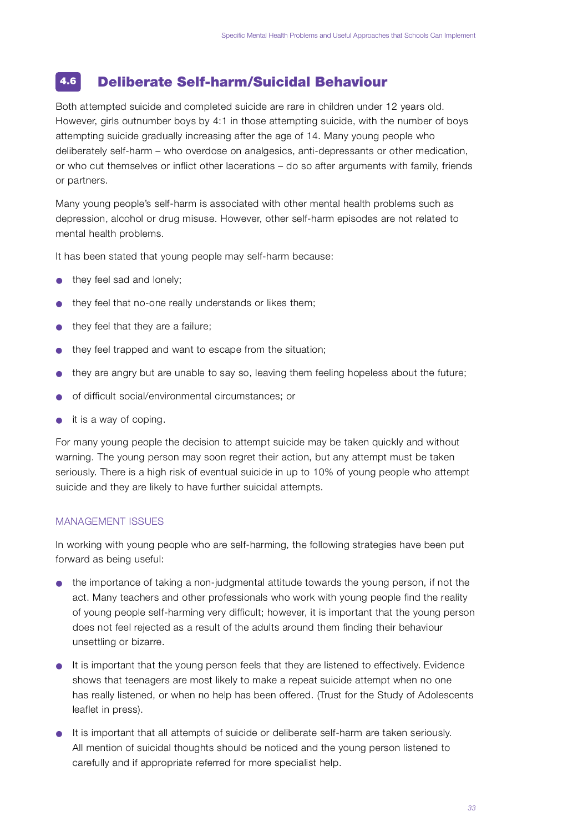#### Deliberate Self-harm/Suicidal Behaviour 4.6

Both attempted suicide and completed suicide are rare in children under 12 years old. However, girls outnumber boys by 4:1 in those attempting suicide, with the number of boys attempting suicide gradually increasing after the age of 14. Many young people who deliberately self-harm – who overdose on analgesics, anti-depressants or other medication, or who cut themselves or inflict other lacerations – do so after arguments with family, friends or partners.

Many young people's self-harm is associated with other mental health problems such as depression, alcohol or drug misuse. However, other self-harm episodes are not related to mental health problems.

It has been stated that young people may self-harm because:

- they feel sad and lonely:
- they feel that no-one really understands or likes them;
- they feel that they are a failure;
- they feel trapped and want to escape from the situation;
- they are angry but are unable to say so, leaving them feeling hopeless about the future;
- of difficult social/environmental circumstances; or
- it is a way of coping.

For many young people the decision to attempt suicide may be taken quickly and without warning. The young person may soon regret their action, but any attempt must be taken seriously. There is a high risk of eventual suicide in up to 10% of young people who attempt suicide and they are likely to have further suicidal attempts.

## MANAGEMENT ISSUES

In working with young people who are self-harming, the following strategies have been put forward as being useful:

- the importance of taking a non-judgmental attitude towards the young person, if not the act. Many teachers and other professionals who work with young people find the reality of young people self-harming very difficult; however, it is important that the young person does not feel rejected as a result of the adults around them finding their behaviour unsettling or bizarre .
- $\bullet$  It is important that the young person feels that they are listened to effectively. Evidence shows that teenagers are most likely to make a repeat suicide attempt when no one has really listened, or when no help has been offered. (Trust for the Study of Adolescents leaflet in press).
- It is important that all attempts of suicide or deliberate self-harm are taken seriously. All mention of suicidal thoughts should be noticed and the young person listened to carefully and if appropriate referred for more specialist help.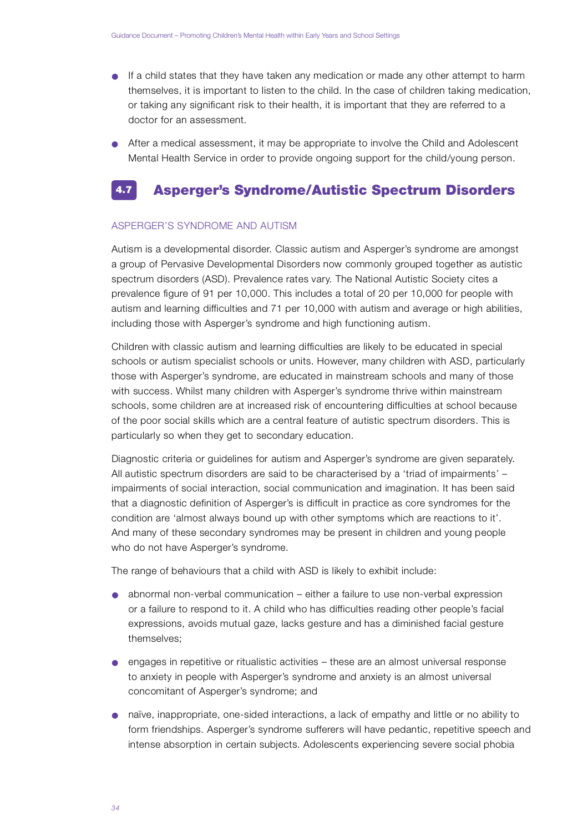- If a child states that they have taken any medication or made any other attempt to harm themselves, it is important to listen to the child. In the case of children taking medication, or taking any significant risk to their health, it is important that they are referred to a doctor for an assessment.
- After a medical assessment, it may be appropriate to involve the Child and Adolescent Mental Health Service in order to provide ongoing support for the child/young person.

#### Asperger's Syndrome/Autistic Spectrum Disorders 4.7

### ASPERGER'S SYNDROME AND AUTISM

Autism is a developmental disorder. Classic autism and Asperger's syndrome are amongst a group of Pervasive Developmental Disorders now commonly grouped together as autistic spectrum disorders (ASD). Prevalence rates vary. The National Autistic Society cites a p revalence figure of 91 per 10,000. This includes a total of 20 per 10,000 for people with autism and learning difficulties and 71 per 10,000 with autism and average or high abilities, including those with Asperger's syndrome and high functioning autism.

Children with classic autism and learning difficulties are likely to be educated in special schools or autism specialist schools or units. However, many children with ASD, particularly those with Asperger's syndrome, are educated in mainstream schools and many of those with success. Whilst many children with Asperger's syndrome thrive within mainstream schools, some children are at increased risk of encountering difficulties at school because of the poor social skills which are a central feature of autistic spectrum disorders. This is particularly so when they get to secondary education.

Diagnostic criteria or guidelines for autism and Asperger's syndrome are given separately. All autistic spectrum disorders are said to be characterised by a 'triad of impairments' impairments of social interaction, social communication and imagination. It has been said that a diagnostic definition of Asperger's is difficult in practice as core syndromes for the condition are 'almost always bound up with other symptoms which are reactions to it'. And many of these secondary syndromes may be present in children and young people who do not have Asperger's syndrome.

The range of behaviours that a child with ASD is likely to exhibit include:

- $\bullet$  abnormal non-verbal communication either a failure to use non-verbal expression or a failure to respond to it. A child who has difficulties reading other people's facial expressions, avoids mutual gaze, lacks gesture and has a diminished facial gesture themselves:
- $\bullet$  engages in repetitive or ritualistic activities these are an almost universal response to anxiety in people with Asperger's syndrome and anxiety is an almost universal concomitant of Asperger's syndrome; and
- naïve, inappropriate, one-sided interactions, a lack of empathy and little or no ability to form friendships. Asperger's syndrome sufferers will have pedantic, repetitive speech and intense absorption in certain subjects. Adolescents experiencing severe social phobia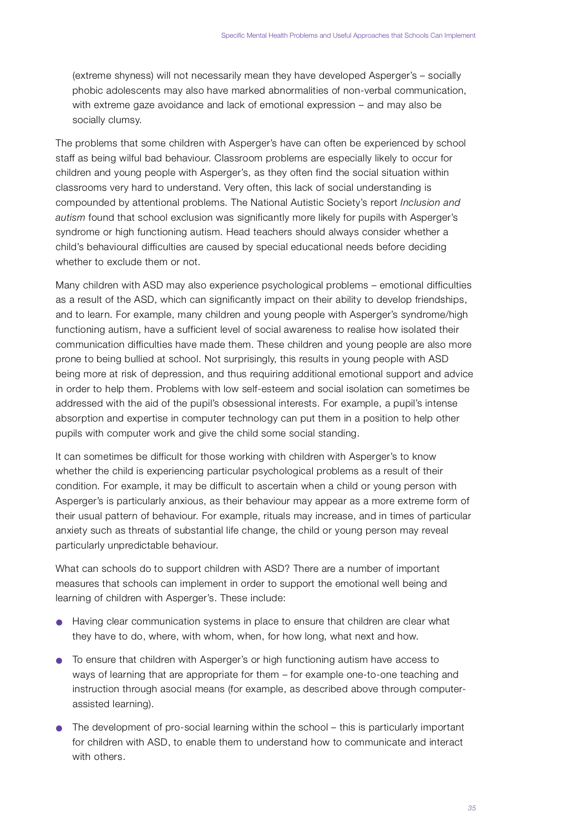(extreme shyness) will not necessarily mean they have developed Asperger's - socially phobic adolescents may also have marked abnormalities of non-verbal communication, with extreme gaze avoidance and lack of emotional expression – and may also be socially clumsy.

The problems that some children with Asperger's have can often be experienced by school staff as being wilful bad behaviour. Classroom problems are especially likely to occur for children and young people with Asperger's, as they often find the social situation within classrooms very hard to understand. Very often, this lack of social understanding is compounded by attentional problems. The National Autistic Society's report *Inclusion and autism* found that school exclusion was significantly more likely for pupils with Asperger's syndrome or high functioning autism. Head teachers should always consider whether a child's behavioural difficulties are caused by special educational needs before deciding whether to exclude them or not.

Many children with ASD may also experience psychological problems – emotional difficulties as a result of the ASD, which can significantly impact on their ability to develop friendships, and to learn. For example, many children and young people with Asperger's syndrome/high functioning autism, have a sufficient level of social awareness to realise how isolated their communication difficulties have made them. These children and young people are also more p rone to being bullied at school. Not surprisingly, this results in young people with ASD being more at risk of depression, and thus requiring additional emotional support and advice in order to help them. Problems with low self-esteem and social isolation can sometimes be addressed with the aid of the pupil's obsessional interests. For example, a pupil's intense absorption and expertise in computer technology can put them in a position to help other pupils with computer work and give the child some social standing.

It can sometimes be difficult for those working with children with Asperger's to know whether the child is experiencing particular psychological problems as a result of their condition. For example, it may be difficult to ascertain when a child or young person with Asperger's is particularly anxious, as their behaviour may appear as a more extreme form of their usual pattern of behaviour. For example, rituals may increase, and in times of particular anxiety such as threats of substantial life change, the child or young person may reveal particularly unpredictable behaviour.

What can schools do to support children with ASD? There are a number of important measures that schools can implement in order to support the emotional well being and learning of children with Asperger's. These include:

- Having clear communication systems in place to ensure that children are clear what they have to do, where, with whom, when, for how long, what next and how.
- To ensure that children with Asperger's or high functioning autism have access to ways of learning that are appropriate for them – for example one-to-one teaching and instruction through asocial means (for example, as described above through computerassisted learning).
- The development of pro-social learning within the school this is particularly important for children with ASD, to enable them to understand how to communicate and interact with others.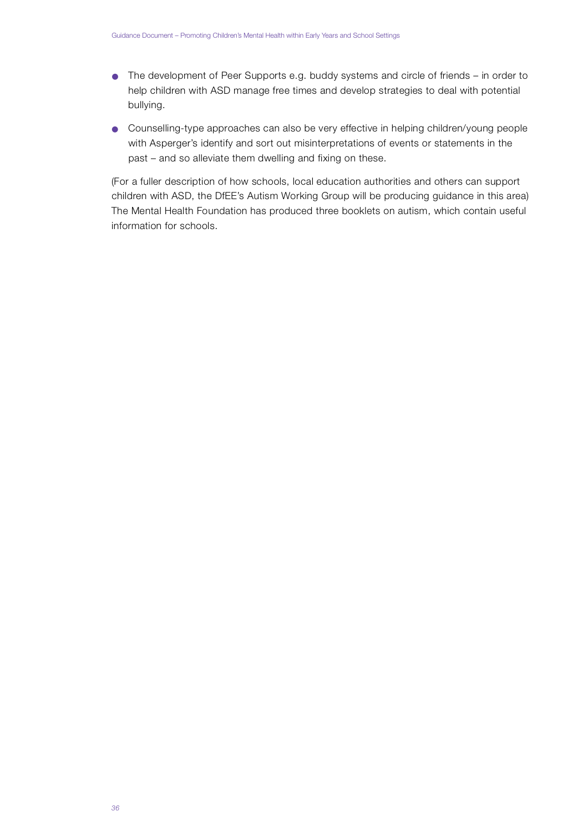- The development of Peer Supports e.g. buddy systems and circle of friends in order to help children with ASD manage free times and develop strategies to deal with potential bullying.
- Counselling-type approaches can also be very effective in helping children/young people with Asperger's identify and sort out misinterpretations of events or statements in the past – and so alleviate them dwelling and fixing on these.

(For a fuller description of how schools, local education authorities and others can support children with ASD, the DfEE's Autism Working Group will be producing guidance in this area) The Mental Health Foundation has produced three booklets on autism, which contain useful information for schools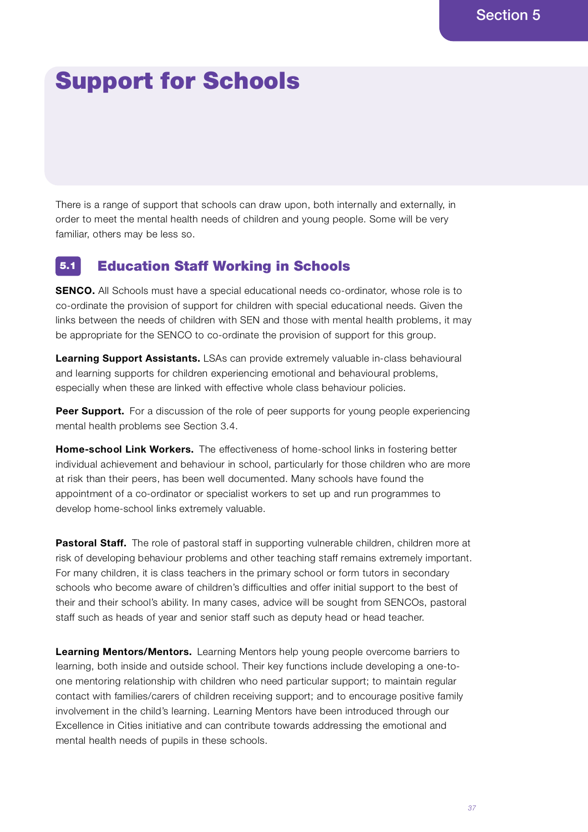# Support for Schools

There is a range of support that schools can draw upon, both internally and externally, in o rder to meet the mental health needs of children and young people. Some will be very familiar, others may be less so.

#### Education Staff Working in Schools 5.1

**SENCO.** All Schools must have a special educational needs co-ordinator, whose role is to co-ordinate the provision of support for children with special educational needs. Given the links between the needs of children with SEN and those with mental health problems, it may be appropriate for the SENCO to co-ordinate the provision of support for this group.

**Learning Support Assistants.** LSAs can provide extremely valuable in-class behavioural and learning supports for children experiencing emotional and behavioural problems, especially when these are linked with effective whole class behaviour policies.

**Peer Support.** For a discussion of the role of peer supports for young people experiencing mental health problems see Section 3.4.

**Home-school Link Workers.** The effectiveness of home-school links in fostering better individual achievement and behaviour in school, particularly for those children who are more at risk than their peers, has been well documented. Many schools have found the appointment of a co-ordinator or specialist workers to set up and run programmes to develop home-school links extremely valuable.

**Pastoral Staff.** The role of pastoral staff in supporting vulnerable children, children more at risk of developing behaviour problems and other teaching staff remains extremely important. For many children, it is class teachers in the primary school or form tutors in secondary schools who become aware of children's difficulties and offer initial support to the best of their and their school's ability. In many cases, advice will be sought from SENCOs, pastoral staff such as heads of year and senior staff such as deputy head or head teacher.

**Learning Mentors/Mentors.** Learning Mentors help young people overcome barriers to learning, both inside and outside school. Their key functions include developing a one-toone mentoring relationship with children who need particular support; to maintain regular contact with families/carers of children receiving support; and to encourage positive family involvement in the child's learning. Learning Mentors have been introduced through our Excellence in Cities initiative and can contribute towards addressing the emotional and mental health needs of pupils in these schools.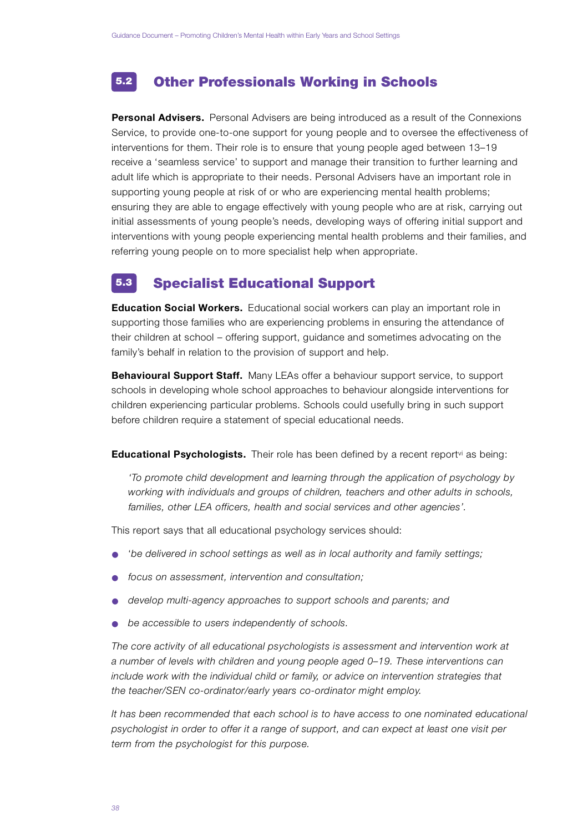#### Other Professionals Working in Schools 5.2

**Personal Advisers.** Personal Advisers are being introduced as a result of the Connexions Service, to provide one-to-one support for young people and to oversee the effectiveness of interventions for them. Their role is to ensure that young people aged between 13-19 receive a 'seamless service' to support and manage their transition to further learning and adult life which is appropriate to their needs. Personal Advisers have an important role in supporting young people at risk of or who are experiencing mental health problems; ensuring they are able to engage effectively with young people who are at risk, carrying out initial assessments of young people's needs, developing ways of offering initial support and interventions with young people experiencing mental health problems and their families, and referring young people on to more specialist help when appropriate.

#### Specialist Educational Support 5.3

**Education Social Workers.** Educational social workers can play an important role in supporting those families who are experiencing problems in ensuring the attendance of their children at school – offering support, guidance and sometimes advocating on the family's behalf in relation to the provision of support and help.

**Behavioural Support Staff .** Many LEAs offer a behaviour support service, to support schools in developing whole school approaches to behaviour alongside interventions for children experiencing particular problems. Schools could usefully bring in such support before children require a statement of special educational needs.

**Educational Psychologists.** Their role has been defined by a recent report<sup>vi</sup> as being:

*' To promote child development and learning through the application of psychology by working with individuals and groups of children, teachers and other adults in schools, families, other LEA officers, health and social services and other agencies'.*

This report says that all educational psychology services should:

- *'be delivered in school settings as well as in local authority and family settings;*
- *focus on assessment, intervention and consultation;*
- develop multi-agency approaches to support schools and parents; and
- be accessible to users independently of schools.

*The core activity of all educational psychologists is assessment and intervention work at a number of levels with children and young people aged 0–19. These interventions can include work with the individual child or family, or advice on intervention strategies that t h e teacher/SEN co-ordinator/early years co-ordinator might employ.*

*It has been recommended that each school is to have access to one nominated educational psychologist in order to offer it a range of support, and can expect at least one visit per t e rm f rom the psychologist for this purpose.*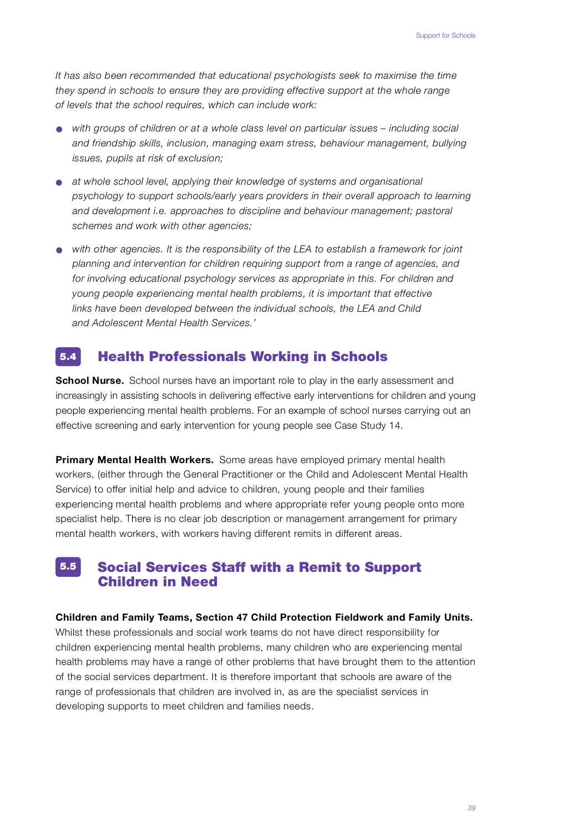*It has also been recommended that educational psychologists seek to maximise the time they spend in schools to ensure they are providing effective support at the whole range* of levels that the school requires, which can include work:

- *with groups of children or at a whole class level on particular issues including social and friendship skills, inclusion, managing exam stress, behaviour management, bullying issues, pupils at risk of exclusion;*
- at whole school level, applying their knowledge of systems and organisational *psychology to support schools/early years providers in their overall approach to learning and development i.e. approaches to discipline and behaviour management; pastoral schemes and work with other agencies;*
- *with other agencies. It is the responsibility of the LEA to establish a framework for joint planning and intervention for children requiring support from a range of agencies, and for involving educational psychology services as appropriate in this. For children and young people experiencing mental health problems, it is important that effective* links have been developed between the individual schools, the LEA and Child and Adolescent Mental Health Services.'

#### Health Professionals Working in Schools 5.4

**School Nurse.** School nurses have an important role to play in the early assessment and increasingly in assisting schools in delivering effective early interventions for children and young people experiencing mental health problems. For an example of school nurses carrying out an effective screening and early intervention for young people see Case Study 14.

**Primary Mental Health Workers.** Some areas have employed primary mental health workers, (either through the General Practitioner or the Child and Adolescent Mental Health Service) to offer initial help and advice to children, young people and their families experiencing mental health problems and where appropriate refer young people onto more specialist help. There is no clear job description or management arrangement for primary mental health workers, with workers having different remits in different areas.

#### Social Services Staff with a Remit to Support Children in Need 5.5

#### **Children and Family Teams, Section 47 Child Protection Fieldwork and Family Units.**

Whilst these professionals and social work teams do not have direct responsibility for children experiencing mental health problems, many children who are experiencing mental health problems may have a range of other problems that have brought them to the attention of the social services department. It is therefore important that schools are aware of the range of professionals that children are involved in, as are the specialist services in developing supports to meet children and families needs.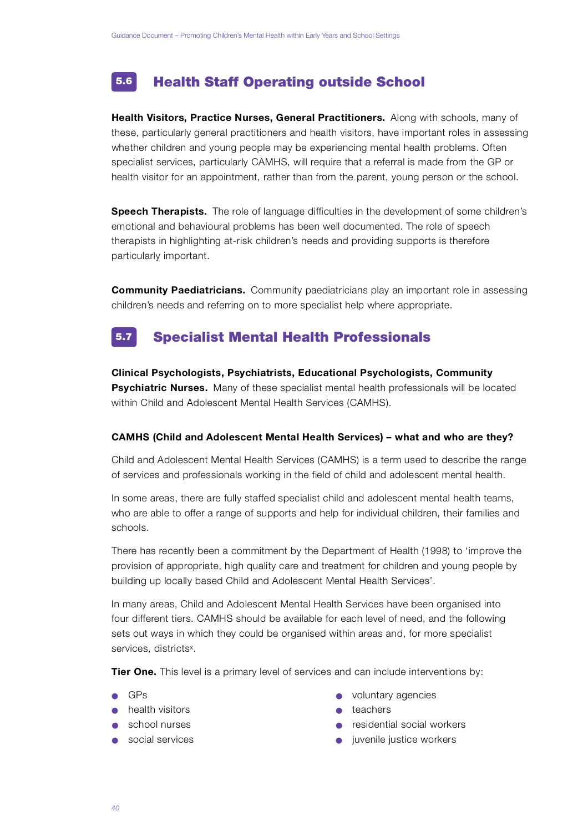#### Health Staff Operating outside School 5.6

**Health Visitors, Practice Nurses, General Practitioners.** Along with schools, many of these, particularly general practitioners and health visitors, have important roles in assessing whether children and young people may be experiencing mental health problems. Often specialist services, particularly CAMHS, will require that a referral is made from the GP or health visitor for an appointment, rather than from the parent, young person or the school.

**Speech Therapists.** The role of language difficulties in the development of some children's emotional and behavioural problems has been well documented. The role of speech therapists in highlighting at-risk children's needs and providing supports is therefore particularly important.

**Community Paediatricians.** Community paediatricians play an important role in assessing children's needs and referring on to more specialist help where appropriate.

#### Specialist Mental Health Professionals 5.7

**Clinical Psychologists, Psychiatrists, Educational Psychologists, Community Psychiatric Nurses.** Many of these specialist mental health professionals will be located within Child and Adolescent Mental Health Services (CAMHS).

## **CAMHS (Child and Adolescent Mental Health Services) - what and who are they?**

Child and Adolescent Mental Health Services (CAMHS) is a term used to describe the range of services and professionals working in the field of child and adolescent mental health.

In some areas, there are fully staffed specialist child and adolescent mental health teams, who are able to offer a range of supports and help for individual children, their families and schools.

There has recently been a commitment by the Department of Health (1998) to 'improve the p rovision of appropriate, high quality care and treatment for children and young people by building up locally based Child and Adolescent Mental Health Services'.

In many areas, Child and Adolescent Mental Health Services have been organised into four different tiers. CAMHS should be available for each level of need, and the following sets out ways in which they could be organised within areas and, for more specialist services, districts<sup>x</sup>.

**Tier One.** This level is a primary level of services and can include interventions by:

- 
- health visitors teachers
- 
- 
- GPs voluntary agencies
	-
- school nurses residential social workers
	- social services expressed by the social services of the service workers of  $\bullet$  invenile justice workers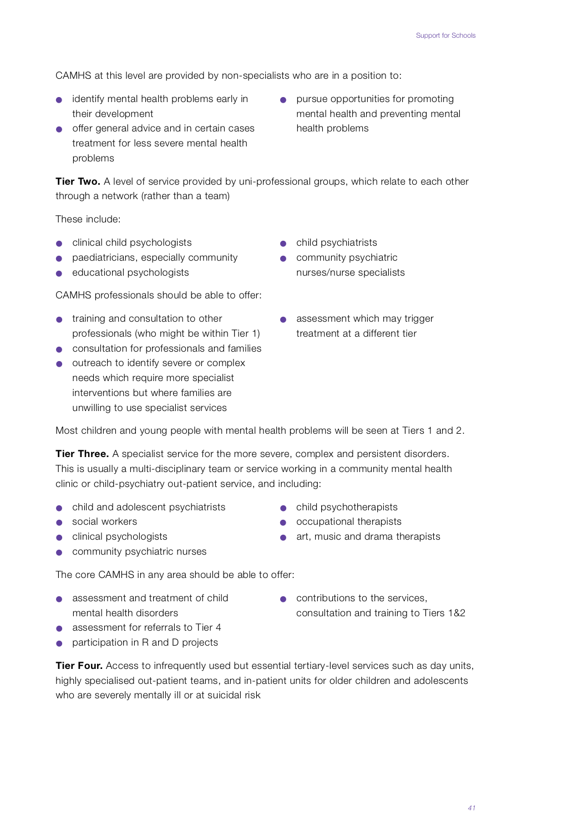CAMHS at this level are provided by non-specialists who are in a position to:

- identify mental health problems early in • pursue opportunities for promoting their development mental health and preventing mental
- $\bullet$  offer general advice and in certain cases health problems treatment for less severe mental health problems
- 

**Tier Two.** A level of service provided by uni-professional groups, which relate to each other through a network (rather than a team)

These include:

- clinical child psychologists child psychiatrists
- paediatricians, especially community <br> **•** community psychiatric
- educational psychologists nurses/nurse specialists

CAMHS professionals should be able to offer:

- training and consultation to other assessment which may trigger professionals (who might be within Tier 1) treatment at a different tier
- consultation for professionals and families
- outreach to identify severe or complex needs which require more specialist interventions but where families are unwilling to use specialist services
- 
- 
- 

Most children and young people with mental health problems will be seen at Tiers 1 and 2.

**Tier Three.** A specialist service for the more severe, complex and persistent disorders. This is usually a multi-disciplinary team or service working in a community mental health clinic or child-psychiatry out-patient service, and including:

- child and adolescent psychiatrists child psychotherapists
- social workers <br>● occupational therapists
- clinical psychologists art, music and drama therapists
- community psychiatric nurses

The core CAMHS in any area should be able to offer:

- assessment and treatment of child contributions to the services,
- $\bullet$  assessment for referrals to Tier 4
- participation in R and D projects

**Tier Four.** Access to infrequently used but essential tertiary-level services such as day units, highly specialised out-patient teams, and in-patient units for older children and adolescents who are severely mentally ill or at suicidal risk

mental health disorders research and training to Tiers 1&2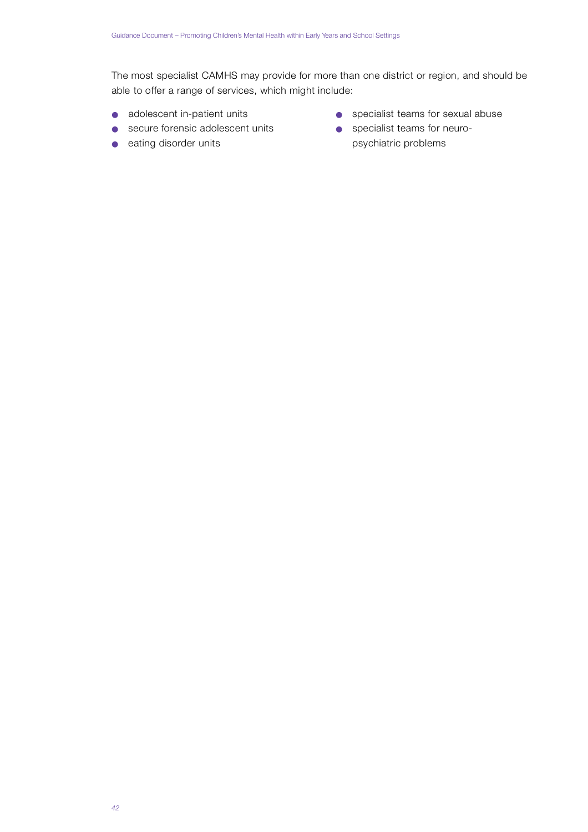The most specialist CAMHS may provide for more than one district or region, and should be able to offer a range of services, which might include:

- 
- secure forensic adolescent units specialist teams for neuro-
- 
- adolescent in-patient units specialist teams for sexual abuse
- eating disorder units psychiatric problems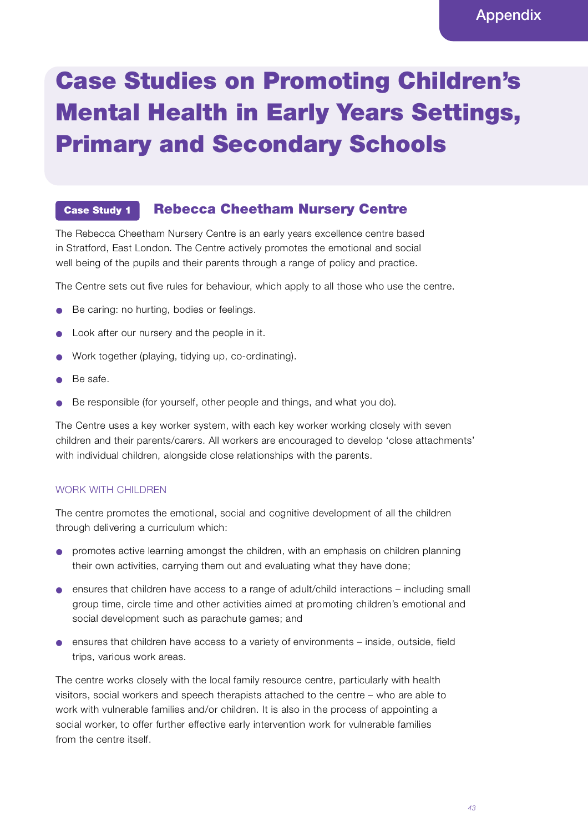# Case Studies on Promoting Children's Mental Health in Early Years Settings, Primary and Secondary Schools

#### Rebecca Cheetham Nursery Centre Case Study 1

The Rebecca Cheetham Nursery Centre is an early years excellence centre based in Stratford, East London. The Centre actively promotes the emotional and social well being of the pupils and their parents through a range of policy and practice.

The Centre sets out five rules for behaviour, which apply to all those who use the centre .

- Be caring: no hurting, bodies or feelings.
- Look after our nursery and the people in it.
- Work together (playing, tidying up, co-ordinating).
- Be safe.
- Be responsible (for yourself, other people and things, and what you do).

The Centre uses a key worker system, with each key worker working closely with seven children and their parents/carers. All workers are encouraged to develop 'close attachments' with individual children, alongside close relationships with the parents.

## WORK WITH CHILDREN

The centre promotes the emotional, social and cognitive development of all the children through delivering a curriculum which:

- promotes active learning amongst the children, with an emphasis on children planning their own activities, carrying them out and evaluating what they have done;
- $\bullet$  ensures that children have access to a range of adult/child interactions including small group time, circle time and other activities aimed at promoting children's emotional and social development such as parachute games; and
- $\bullet$  ensures that children have access to a variety of environments inside, outside, field trips, various work areas.

The centre works closely with the local family resource centre, particularly with health visitors, social workers and speech therapists attached to the centre – who are able to work with vulnerable families and/or children. It is also in the process of appointing a social worker, to offer further effective early intervention work for vulnerable families from the centre itself.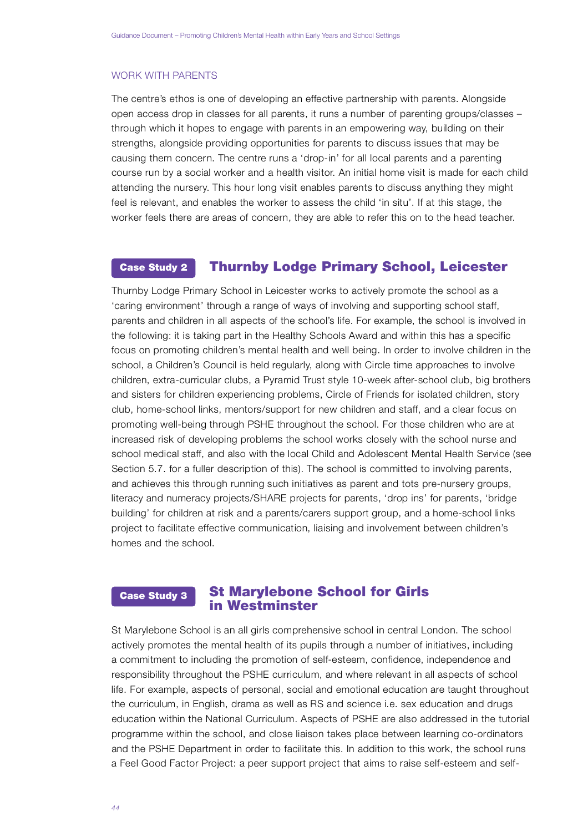#### WORK WITH PARENTS

The centre 's ethos is one of developing an effective partnership with parents. Alongside open access drop in classes for all parents, it runs a number of parenting groups/classes – through which it hopes to engage with parents in an empowering way, building on their strengths, alongside providing opportunities for parents to discuss issues that may be causing them concern. The centre runs a 'drop-in' for all local parents and a parenting course run by a social worker and a health visitor. An initial home visit is made for each child attending the nursery. This hour long visit enables parents to discuss anything they might feel is relevant, and enables the worker to assess the child 'in situ'. If at this stage, the worker feels there are areas of concern, they are able to refer this on to the head teacher.

#### Thurnby Lodge Primary School, Leicester Case Study 2

Thurnby Lodge Primary School in Leicester works to actively promote the school as a 'caring environment' through a range of ways of involving and supporting school staff , parents and children in all aspects of the school's life. For example, the school is involved in the following: it is taking part in the Healthy Schools Award and within this has a specific focus on promoting children's mental health and well being. In order to involve children in the school, a Children's Council is held reqularly, along with Circle time approaches to involve children, extra-curricular clubs, a Pyramid Trust style 10-week after-school club, big brothers and sisters for children experiencing problems, Circle of Friends for isolated children, story club, home-school links, mentors/support for new children and staff, and a clear focus on promoting well-being through PSHE throughout the school. For those children who are at increased risk of developing problems the school works closely with the school nurse and school medical staff, and also with the local Child and Adolescent Mental Health Service (see Section 5.7. for a fuller description of this). The school is committed to involving parents, and achieves this through running such initiatives as parent and tots pre-nursery groups, literacy and numeracy projects/SHARE projects for parents, 'drop ins' for parents, 'bridge building' for children at risk and a parents/carers support group, and a home-school links project to facilitate effective communication, liaising and involvement between children's homes and the school.

#### St Marylebone School for Girls in Westminster Case Study 3

St Marylebone School is an all girls comprehensive school in central London. The school actively promotes the mental health of its pupils through a number of initiatives, including a commitment to including the promotion of self-esteem, confidence, independence and responsibility throughout the PSHE curriculum, and where relevant in all aspects of school life. For example, aspects of personal, social and emotional education are taught throughout the curriculum, in English, drama as well as RS and science i.e. sex education and drugs education within the National Curriculum. Aspects of PSHE are also addressed in the tutorial programme within the school, and close liaison takes place between learning co-ordinators and the PSHE Department in order to facilitate this. In addition to this work, the school runs a Feel Good Factor Project: a peer support project that aims to raise self-esteem and self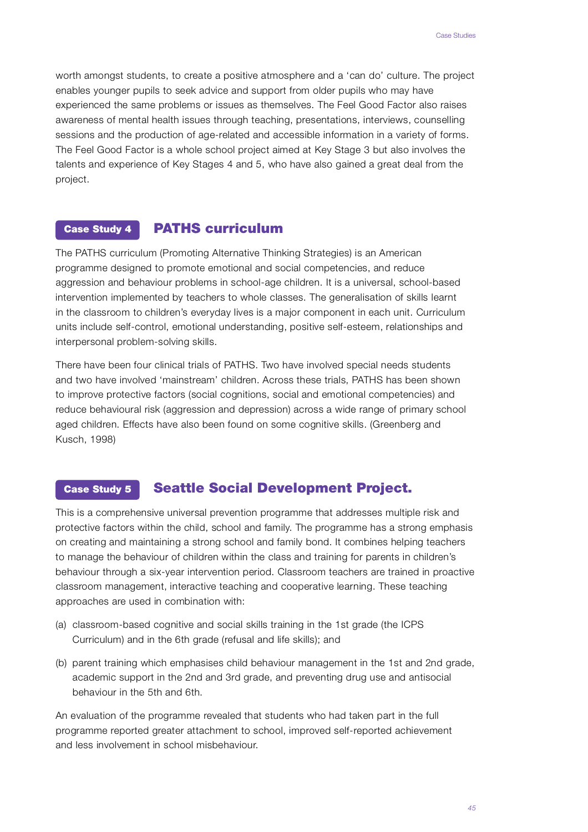worth amongst students, to create a positive atmosphere and a 'can do' culture. The project enables younger pupils to seek advice and support from older pupils who may have experienced the same problems or issues as themselves. The Feel Good Factor also raises awareness of mental health issues through teaching, presentations, interviews, counselling sessions and the production of age-related and accessible information in a variety of forms. The Feel Good Factor is a whole school project aimed at Key Stage 3 but also involves the talents and experience of Key Stages 4 and 5, who have also gained a great deal from the project.

#### PATHS curriculum Case Study 4

The PATHS curriculum (Promoting Alternative Thinking Strategies) is an American programme designed to promote emotional and social competencies, and reduce aggression and behaviour problems in school-age children. It is a universal, school-based intervention implemented by teachers to whole classes. The generalisation of skills learnt in the classroom to children's everyday lives is a major component in each unit. Curriculum units include self-control, emotional understanding, positive self-esteem, relationships and interpersonal problem-solving skills.

There have been four clinical trials of PATHS. Two have involved special needs students and two have involved 'mainstream' children. Across these trials, PATHS has been shown to improve protective factors (social cognitions, social and emotional competencies) and reduce behavioural risk (aggression and depression) across a wide range of primary school aged children. Effects have also been found on some cognitive skills. (Greenberg and Kusch, 1998)

#### Seattle Social Development Project. Case Study 5

This is a comprehensive universal prevention programme that addresses multiple risk and p rotective factors within the child, school and family. The programme has a strong emphasis on creating and maintaining a strong school and family bond. It combines helping teachers to manage the behaviour of children within the class and training for parents in children's behaviour through a six-year intervention period. Classroom teachers are trained in proactive classroom management, interactive teaching and cooperative learning. These teaching approaches are used in combination with:

- (a) classroom-based cognitive and social skills training in the 1st grade (the ICPS Curriculum) and in the 6th grade (refusal and life skills); and
- (b) parent training which emphasises child behaviour management in the 1st and 2nd grade, academic support in the 2nd and 3rd grade, and preventing drug use and antisocial behaviour in the 5th and 6th.

An evaluation of the programme revealed that students who had taken part in the full programme reported greater attachment to school, improved self-reported achievement and less involvement in school misbehaviour.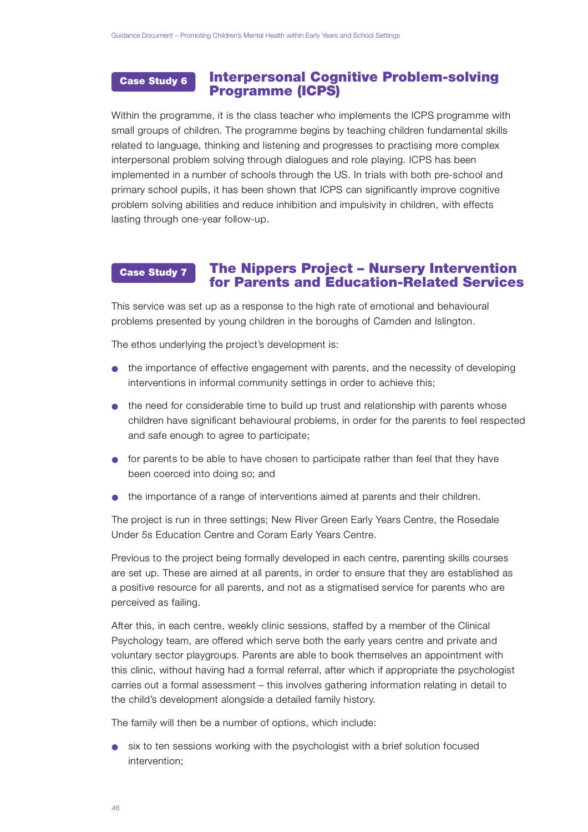#### Interpersonal Cognitive Problem-solving Programme (ICPS) Case Study 6

Within the programme, it is the class teacher who implements the ICPS programme with small groups of children. The programme begins by teaching children fundamental skills related to language, thinking and listening and progresses to practising more complex interpersonal problem solving through dialogues and role playing. ICPS has been implemented in a number of schools through the US. In trials with both pre-school and primary school pupils, it has been shown that ICPS can significantly improve cognitive problem solving abilities and reduce inhibition and impulsivity in children, with effects lasting through one-year follow-up.

#### The Nippers Project – Nursery Intervention for Parents and Education-Related Services Case Study 7

This service was set up as a response to the high rate of emotional and behavioural p roblems presented by young children in the boroughs of Camden and Islington.

The ethos underlying the project's development is:

- the importance of effective engagement with parents, and the necessity of developing interventions in informal community settings in order to achieve this;
- the need for considerable time to build up trust and relationship with parents whose children have significant behavioural problems, in order for the parents to feel respected and safe enough to agree to participate;
- for parents to be able to have chosen to participate rather than feel that they have been coerced into doing so; and
- the importance of a range of interventions aimed at parents and their children.

The project is run in three settings; New River Green Early Years Centre, the Rosedale Under 5s Education Centre and Coram Early Years Centre.

Previous to the project being formally developed in each centre, parenting skills courses are set up. These are aimed at all parents, in order to ensure that they are established as a positive resource for all parents, and not as a stigmatised service for parents who are perceived as failing.

After this, in each centre, weekly clinic sessions, staffed by a member of the Clinical Psychology team, are offered which serve both the early years centre and private and voluntary sector playgroups. Parents are able to book themselves an appointment with this clinic, without having had a formal referral, after which if appropriate the psychologist carries out a formal assessment – this involves gathering information relating in detail to the child's development alongside a detailed family history.

The family will then be a number of options, which include:

● six to ten sessions working with the psychologist with a brief solution focused intervention;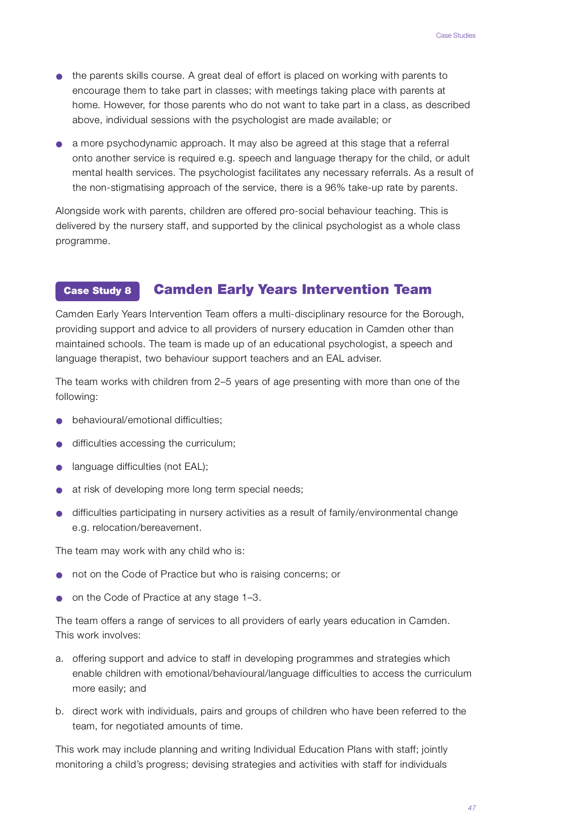- the parents skills course. A great deal of effort is placed on working with parents to encourage them to take part in classes; with meetings taking place with parents at home. However, for those parents who do not want to take part in a class, as described above, individual sessions with the psychologist are made available; or
- $\bullet$  a more psychodynamic approach. It may also be agreed at this stage that a referral onto another service is required e.g. speech and language therapy for the child, or adult mental health services. The psychologist facilitates any necessary referrals. As a result of the non-stigmatising approach of the service, there is a 96% take-up rate by parents.

Alongside work with parents, children are offered pro-social behaviour teaching. This is delivered by the nursery staff, and supported by the clinical psychologist as a whole class programme.

#### Camden Early Years Intervention Team Case Study 8

Camden Early Years Intervention Team offers a multi-disciplinary resource for the Borough, p roviding support and advice to all providers of nursery education in Camden other than maintained schools. The team is made up of an educational psychologist, a speech and language therapist, two behaviour support teachers and an EAL adviser.

The team works with children from 2–5 years of age presenting with more than one of the following:

- $\bullet$  behavioural/emotional difficulties;
- difficulties accessing the curriculum;
- language difficulties (not EAL);
- at risk of developing more long term special needs;
- difficulties participating in nursery activities as a result of family/environmental change e.g. relocation/bereavement.

The team may work with any child who is:

- not on the Code of Practice but who is raising concerns; or
- on the Code of Practice at any stage 1–3.

The team offers a range of services to all providers of early years education in Camden. This work involves:

- a. offering support and advice to staff in developing programmes and strategies which enable children with emotional/behavioural/language difficulties to access the curriculum more easily; and
- b. direct work with individuals, pairs and groups of children who have been referred to the team, for negotiated amounts of time.

This work may include planning and writing Individual Education Plans with staff; jointly monitoring a child's progress; devising strategies and activities with staff for individuals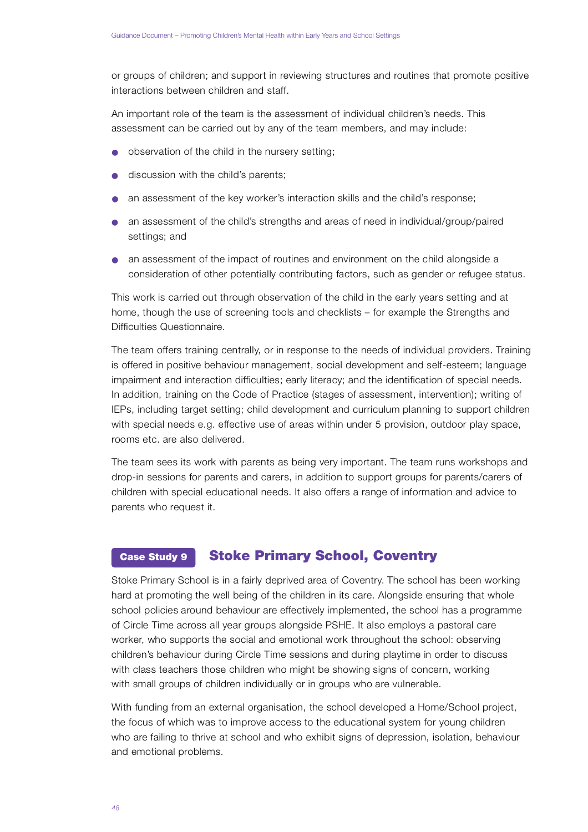or groups of children; and support in reviewing structures and routines that promote positive interactions between children and staff.

An important role of the team is the assessment of individual children's needs. This assessment can be carried out by any of the team members, and may include:

- observation of the child in the nursery setting;
- discussion with the child's parents;
- an assessment of the key worker's interaction skills and the child's response;
- $\bullet$  an assessment of the child's strengths and areas of need in individual/group/paired settings; and
- an assessment of the impact of routines and environment on the child alongside a consideration of other potentially contributing factors, such as gender or refugee status.

This work is carried out through observation of the child in the early years setting and at home, though the use of screening tools and checklists – for example the Strengths and Difficulties Questionnaire.

The team offers training centrally, or in response to the needs of individual providers. Training is offered in positive behaviour management, social development and self-esteem; language impairment and interaction difficulties; early literacy; and the identification of special needs. In addition, training on the Code of Practice (stages of assessment, intervention); writing of IEPs, including target setting; child development and curriculum planning to support children with special needs e.g. effective use of areas within under 5 provision, outdoor play space, rooms etc. are also delivered.

The team sees its work with parents as being very important. The team runs workshops and drop-in sessions for parents and carers, in addition to support groups for parents/carers of children with special educational needs. It also offers a range of information and advice to parents who request it.

#### Stoke Primary School, Coventry Case Study 9

Stoke Primary School is in a fairly deprived area of Coventry. The school has been working hard at promoting the well being of the children in its care. Alongside ensuring that whole school policies around behaviour are effectively implemented, the school has a programme of Circle Time across all year groups alongside PSHE. It also employs a pastoral care worker, who supports the social and emotional work throughout the school: observing children's behaviour during Circle Time sessions and during playtime in order to discuss with class teachers those children who might be showing signs of concern, working with small groups of children individually or in groups who are vulnerable.

With funding from an external organisation, the school developed a Home/School project, the focus of which was to improve access to the educational system for young children who are failing to thrive at school and who exhibit signs of depression, isolation, behaviour and emotional problems.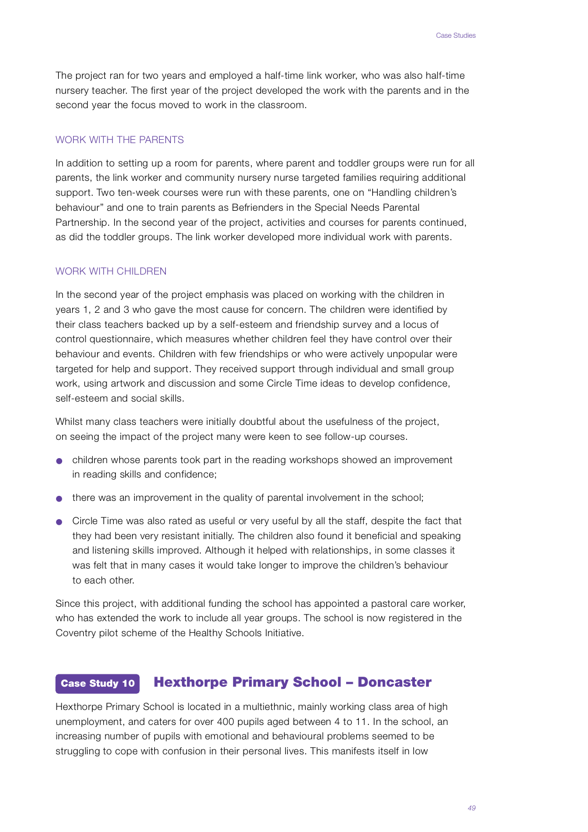The project ran for two years and employed a half-time link worker, who was also half-time nursery teacher. The first year of the project developed the work with the parents and in the second year the focus moved to work in the classroom.

## WORK WITH THE PARENTS

In addition to setting up a room for parents, where parent and toddler groups were run for all parents, the link worker and community nursery nurse targeted families requiring additional support. Two ten-week courses were run with these parents, one on "Handling children's behaviour" and one to train parents as Befrienders in the Special Needs Parental Partnership. In the second year of the project, activities and courses for parents continued, as did the toddler groups. The link worker developed more individual work with parents.

## WORK WITH CHILDREN

In the second year of the project emphasis was placed on working with the children in years 1, 2 and 3 who gave the most cause for concern. The children were identified by their class teachers backed up by a self-esteem and friendship survey and a locus of control questionnaire, which measures whether children feel they have control over their behaviour and events. Children with few friendships or who were actively unpopular were targeted for help and support. They received support through individual and small group work, using artwork and discussion and some Circle Time ideas to develop confidence, self-esteem and social skills.

Whilst many class teachers were initially doubtful about the usefulness of the project, on seeing the impact of the project many were keen to see follow-up courses.

- $\bullet$  children whose parents took part in the reading workshops showed an improvement in reading skills and confidence;
- $\bullet$  there was an improvement in the quality of parental involvement in the school;
- Circle Time was also rated as useful or very useful by all the staff, despite the fact that they had been very resistant initially. The children also found it beneficial and speaking and listening skills improved. Although it helped with relationships, in some classes it was felt that in many cases it would take longer to improve the children's behaviour to each other

Since this project, with additional funding the school has appointed a pastoral care worker, who has extended the work to include all year groups. The school is now registered in the Coventry pilot scheme of the Healthy Schools Initiative.

#### Hexthorpe Primary School – Doncaster Case Study 10

Hexthorpe Primary School is located in a multiethnic, mainly working class area of high unemployment, and caters for over 400 pupils aged between 4 to 11. In the school, an increasing number of pupils with emotional and behavioural problems seemed to be struggling to cope with confusion in their personal lives. This manifests itself in low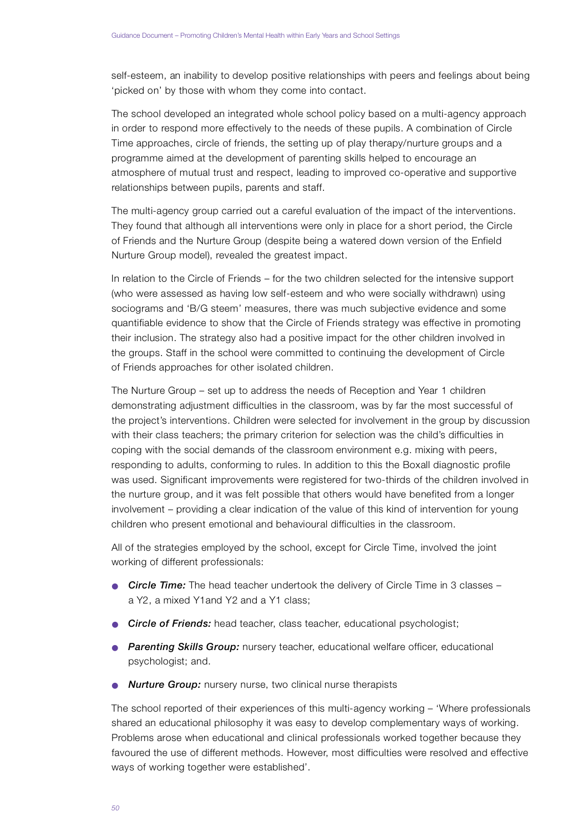self-esteem, an inability to develop positive relationships with peers and feelings about being 'picked on' by those with whom they come into contact.

The school developed an integrated whole school policy based on a multi-agency approach in order to respond more effectively to the needs of these pupils. A combination of Circle Time approaches, circle of friends, the setting up of play therapy/nurture groups and a p rogramme aimed at the development of parenting skills helped to encourage an atmosphere of mutual trust and respect, leading to improved co-operative and supportive relationships between pupils, parents and staff.

The multi-agency group carried out a careful evaluation of the impact of the interventions. They found that although all interventions were only in place for a short period, the Circle of Friends and the Nurture Group (despite being a watered down version of the Enfield Nurture Group model), revealed the greatest impact.

In relation to the Circle of Friends – for the two children selected for the intensive support (who were assessed as having low self-esteem and who were socially withdrawn) using sociograms and 'B/G steem' measures, there was much subjective evidence and some quantifiable evidence to show that the Circle of Friends strategy was effective in promoting their inclusion. The strategy also had a positive impact for the other children involved in the groups. Staff in the school were committed to continuing the development of Circle of Friends approaches for other isolated children.

The Nurture Group – set up to address the needs of Reception and Year 1 children demonstrating adjustment difficulties in the classroom, was by far the most successful of the project's interventions. Children were selected for involvement in the group by discussion with their class teachers; the primary criterion for selection was the child's difficulties in coping with the social demands of the classroom environment e.g. mixing with peers, responding to adults, conforming to rules. In addition to this the Boxall diagnostic profile was used. Significant improvements were registered for two-thirds of the children involved in the nurture group, and it was felt possible that others would have benefited from a longer involvement – providing a clear indication of the value of this kind of intervention for young children who present emotional and behavioural difficulties in the classroom.

All of the strategies employed by the school, except for Circle Time, involved the joint working of different professionals:

- **Circle Time:** The head teacher undertook the delivery of Circle Time in 3 classes a Y2, a mixed Y1and Y2 and a Y1 class;
- **Circle of Friends:** head teacher, class teacher, educational psychologist;
- **Parenting Skills Group:** nursery teacher, educational welfare officer, educational psychologist; and.
- **Nurture Group:** nursery nurse, two clinical nurse therapists

The school reported of their experiences of this multi-agency working – 'Where professionals shared an educational philosophy it was easy to develop complementary ways of working. Problems arose when educational and clinical professionals worked together because they favoured the use of different methods. However, most difficulties were resolved and effective ways of working together were established'.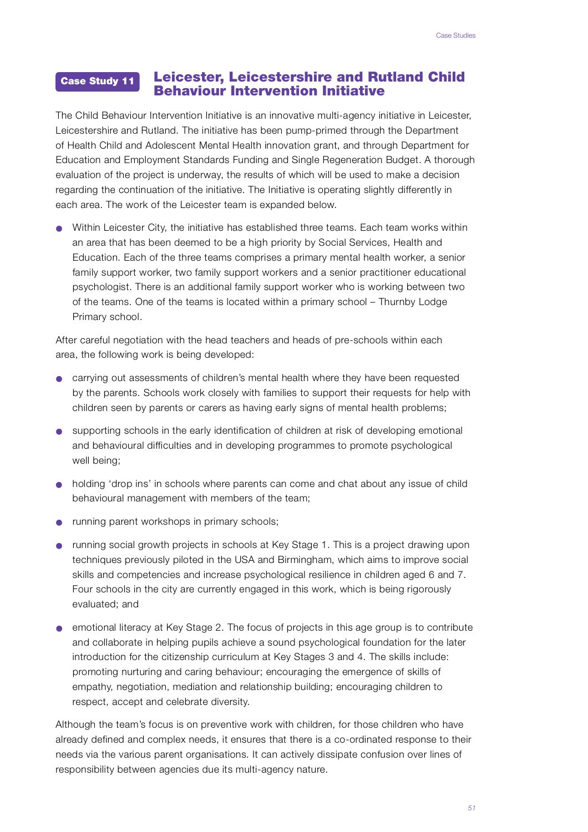#### Leicester, Leicestershire and Rutland Child Behaviour Intervention Initiative Case Study 11

The Child Behaviour Intervention Initiative is an innovative multi-agency initiative in Leicester, Leicestershire and Rutland. The initiative has been pump-primed through the Department of Health Child and Adolescent Mental Health innovation grant, and through Department for Education and Employment Standards Funding and Single Regeneration Budget. A thorough evaluation of the project is underway, the results of which will be used to make a decision regarding the continuation of the initiative. The Initiative is operating slightly differently in each area. The work of the Leicester team is expanded below.

● Within Leicester City, the initiative has established three teams. Each team works within an area that has been deemed to be a high priority by Social Services, Health and Education. Each of the three teams comprises a primary mental health worker, a senior family support worker, two family support workers and a senior practitioner educational psychologist. There is an additional family support worker who is working between two of the teams. One of the teams is located within a primary school – Thurnby Lodge Primary school.

After careful negotiation with the head teachers and heads of pre-schools within each area, the following work is being developed:

- carrying out assessments of children's mental health where they have been requested by the parents. Schools work closely with families to support their requests for help with children seen by parents or carers as having early signs of mental health problems;
- supporting schools in the early identification of children at risk of developing emotional and behavioural difficulties and in developing programmes to promote psychological well being;
- holding 'drop ins' in schools where parents can come and chat about any issue of child behavioural management with members of the team;
- running parent workshops in primary schools;
- running social growth projects in schools at Key Stage 1. This is a project drawing upon techniques previously piloted in the USA and Birmingham, which aims to improve social skills and competencies and increase psychological resilience in children aged 6 and 7. Four schools in the city are currently engaged in this work, which is being rigorously evaluated; and
- emotional literacy at Key Stage 2. The focus of projects in this age group is to contribute and collaborate in helping pupils achieve a sound psychological foundation for the later introduction for the citizenship curriculum at Key Stages 3 and 4. The skills include: promoting nurturing and caring behaviour; encouraging the emergence of skills of empathy, negotiation, mediation and relationship building; encouraging children to respect, accept and celebrate diversity.

Although the team's focus is on preventive work with children, for those children who have already defined and complex needs, it ensures that there is a co-ordinated response to their needs via the various parent organisations. It can actively dissipate confusion over lines of responsibility between agencies due its multi-agency nature.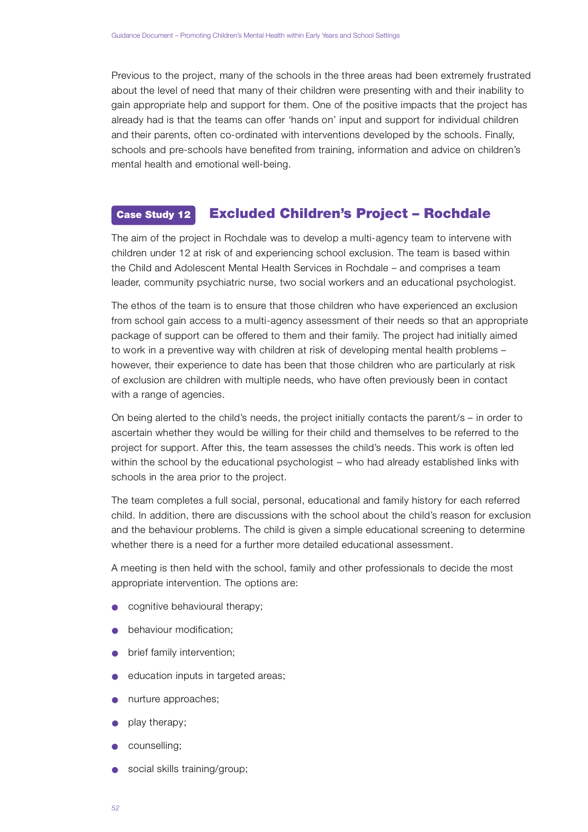Previous to the project, many of the schools in the three areas had been extremely frustrated about the level of need that many of their children were presenting with and their inability to gain appropriate help and support for them. One of the positive impacts that the project has already had is that the teams can offer 'hands on' input and support for individual children and their parents, often co-ordinated with interventions developed by the schools. Finally, schools and pre-schools have benefited from training, information and advice on children's mental health and emotional well-being.

#### Excluded Children's Project – Rochdale Case Study 12

The aim of the project in Rochdale was to develop a multi-agency team to intervene with children under 12 at risk of and experiencing school exclusion. The team is based within the Child and Adolescent Mental Health Services in Rochdale – and comprises a team leader, community psychiatric nurse, two social workers and an educational psychologist.

The ethos of the team is to ensure that those children who have experienced an exclusion from school gain access to a multi-agency assessment of their needs so that an appropriate package of support can be offered to them and their family. The project had initially aimed to work in a preventive way with children at risk of developing mental health problems however, their experience to date has been that those children who are particularly at risk of exclusion are children with multiple needs, who have often previously been in contact with a range of agencies.

On being alerted to the child's needs, the project initially contacts the parent/s – in order to ascertain whether they would be willing for their child and themselves to be referred to the p roject for support. After this, the team assesses the child's needs. This work is often led within the school by the educational psychologist – who had already established links with schools in the area prior to the project.

The team completes a full social, personal, educational and family history for each referred child. In addition, there are discussions with the school about the child's reason for exclusion and the behaviour problems. The child is given a simple educational screening to determine whether there is a need for a further more detailed educational assessment.

A meeting is then held with the school, family and other professionals to decide the most appropriate intervention. The options are:

- cognitive behavioural therapy;
- behaviour modification;
- brief family intervention;
- education inputs in targeted areas;
- nurture approaches:
- play therapy;
- counselling;
- social skills training/group;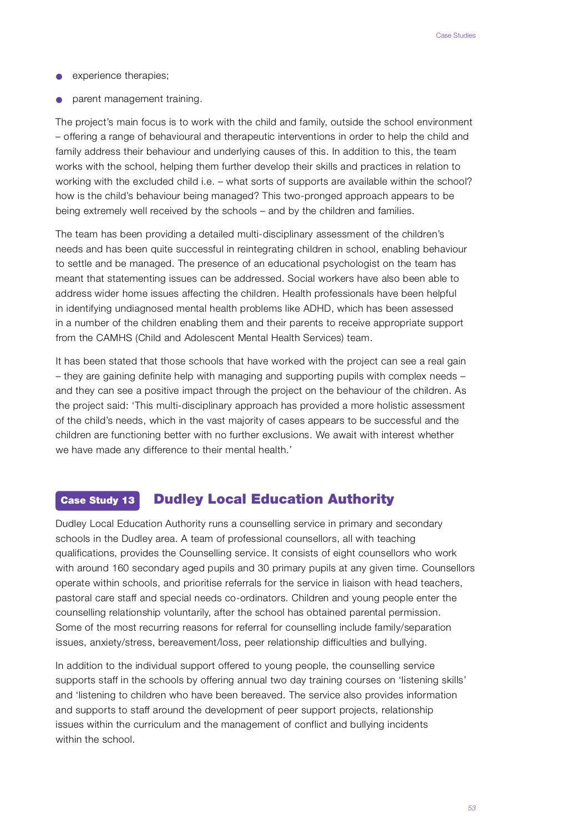- **•** experience therapies;
- parent management training.

The project's main focus is to work with the child and family, outside the school environment – offering a range of behavioural and therapeutic interventions in order to help the child and family address their behaviour and underlying causes of this. In addition to this, the team works with the school, helping them further develop their skills and practices in relation to working with the excluded child i.e. – what sorts of supports are available within the school? how is the child's behaviour being managed? This two-pronged approach appears to be being extremely well received by the schools – and by the children and families.

The team has been providing a detailed multi-disciplinary assessment of the children's needs and has been quite successful in reintegrating children in school, enabling behaviour to settle and be managed. The presence of an educational psychologist on the team has meant that statementing issues can be addressed. Social workers have also been able to address wider home issues affecting the children. Health professionals have been helpful in identifying undiagnosed mental health problems like ADHD, which has been assessed in a number of the children enabling them and their parents to receive appropriate support from the CAMHS (Child and Adolescent Mental Health Services) team.

It has been stated that those schools that have worked with the project can see a real gain – they are gaining definite help with managing and supporting pupils with complex needs – and they can see a positive impact through the project on the behaviour of the children. As the project said: 'This multi-disciplinary approach has provided a more holistic assessment of the child's needs, which in the vast majority of cases appears to be successful and the children are functioning better with no further exclusions. We await with interest whether we have made any difference to their mental health.'

#### Dudley Local Education Authority Case Study 13

Dudley Local Education Authority runs a counselling service in primary and secondary schools in the Dudley area. A team of professional counsellors, all with teaching qualifications, provides the Counselling service. It consists of eight counsellors who work with around 160 secondary aged pupils and 30 primary pupils at any given time. Counsellors operate within schools, and prioritise referrals for the service in liaison with head teachers, pastoral care staff and special needs co-ordinators. Children and young people enter the counselling relationship voluntarily, after the school has obtained parental permission. Some of the most recurring reasons for referral for counselling include family/separation issues, anxiety/stress, bereavement/loss, peer relationship difficulties and bullying.

In addition to the individual support offered to young people, the counselling service supports staff in the schools by offering annual two day training courses on 'listening skills' and 'listening to children who have been bereaved. The service also provides information and supports to staff around the development of peer support projects, relationship issues within the curriculum and the management of conflict and bullying incidents within the school.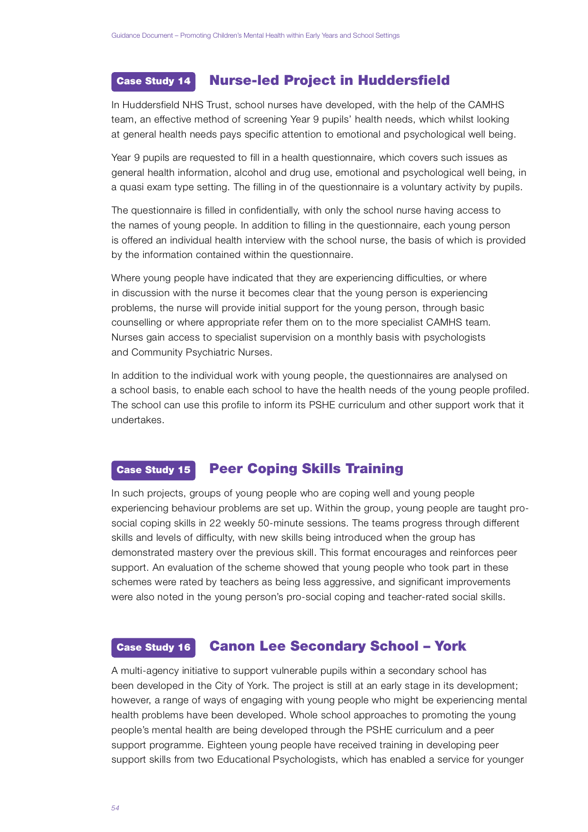#### Nurse-led Project in Huddersfield Case Study 14

In Huddersfield NHS Trust, school nurses have developed, with the help of the CAMHS team, an effective method of screening Year 9 pupils' health needs, which whilst looking at general health needs pays specific attention to emotional and psychological well being.

Year 9 pupils are requested to fill in a health questionnaire, which covers such issues as general health information, alcohol and drug use, emotional and psychological well being, in a quasi exam type setting. The filling in of the questionnaire is a voluntary activity by pupils.

The questionnaire is filled in confidentially, with only the school nurse having access to the names of young people. In addition to filling in the questionnaire, each young person is offered an individual health interview with the school nurse, the basis of which is provided by the information contained within the questionnaire.

Where young people have indicated that they are experiencing difficulties, or where in discussion with the nurse it becomes clear that the young person is experiencing problems, the nurse will provide initial support for the young person, through basic counselling or where appropriate refer them on to the more specialist CAMHS team. Nurses gain access to specialist supervision on a monthly basis with psychologists and Community Psychiatric Nurses.

In addition to the individual work with young people, the questionnaires are analysed on a school basis, to enable each school to have the health needs of the young people profiled. The school can use this profile to inform its PSHE curriculum and other support work that it undertakes.

#### Peer Coping Skills Training Case Study 15

In such projects, groups of young people who are coping well and young people experiencing behaviour problems are set up. Within the group, young people are taught prosocial coping skills in 22 weekly 50-minute sessions. The teams progress through different skills and levels of difficulty, with new skills being introduced when the group has demonstrated mastery over the previous skill. This format encourages and reinforces peer support. An evaluation of the scheme showed that young people who took part in these schemes were rated by teachers as being less aggressive, and significant improvements were also noted in the young person's pro-social coping and teacher-rated social skills.

#### Canon Lee Secondary School – York Case Study 16

A multi-agency initiative to support vulnerable pupils within a secondary school has been developed in the City of York. The project is still at an early stage in its development; however, a range of ways of engaging with young people who might be experiencing mental health problems have been developed. Whole school approaches to promoting the young people's mental health are being developed through the PSHE curriculum and a peer support programme. Eighteen young people have received training in developing peer support skills from two Educational Psychologists, which has enabled a service for younger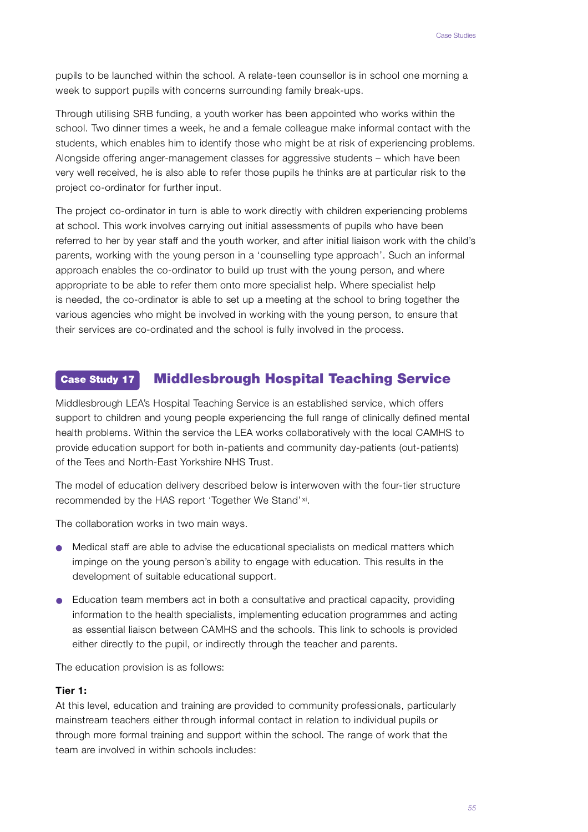pupils to be launched within the school. A relate-teen counsellor is in school one morning a week to support pupils with concerns surrounding family break-ups.

Through utilising SRB funding, a youth worker has been appointed who works within the school. Two dinner times a week, he and a female colleague make informal contact with the students, which enables him to identify those who might be at risk of experiencing problems. Alongside offering anger-management classes for aggressive students – which have been very well received, he is also able to refer those pupils he thinks are at particular risk to the project co-ordinator for further input.

The project co-ordinator in turn is able to work directly with children experiencing problems at school. This work involves carrying out initial assessments of pupils who have been referred to her by year staff and the youth worker, and after initial liaison work with the child's parents, working with the young person in a 'counselling type approach'. Such an informal approach enables the co-ordinator to build up trust with the young person, and where appropriate to be able to refer them onto more specialist help. Where specialist help is needed, the co-ordinator is able to set up a meeting at the school to bring together the various agencies who might be involved in working with the young person, to ensure that their services are co-ordinated and the school is fully involved in the process.

#### Middlesbrough Hospital Teaching Service Case Study 17

Middlesbrough LEA's Hospital Teaching Service is an established service, which offers support to children and young people experiencing the full range of clinically defined mental health problems. Within the service the LEA works collaboratively with the local CAMHS to p rovide education support for both in-patients and community day-patients (out-patients) of the Tees and North-East Yorkshire NHS Trust.

The model of education delivery described below is interwoven with the four-tier structure recommended by the HAS report 'Together We Stand' xi.

The collaboration works in two main ways.

- Medical staff are able to advise the educational specialists on medical matters which impinge on the young person's ability to engage with education. This results in the development of suitable educational support.
- $\bullet$  Education team members act in both a consultative and practical capacity, providing information to the health specialists, implementing education programmes and acting as essential liaison between CAMHS and the schools. This link to schools is provided either directly to the pupil, or indirectly through the teacher and parents.

The education provision is as follows:

## **Tier 1:**

At this level, education and training are provided to community professionals, particularly mainstream teachers either through informal contact in relation to individual pupils or through more formal training and support within the school. The range of work that the team are involved in within schools includes: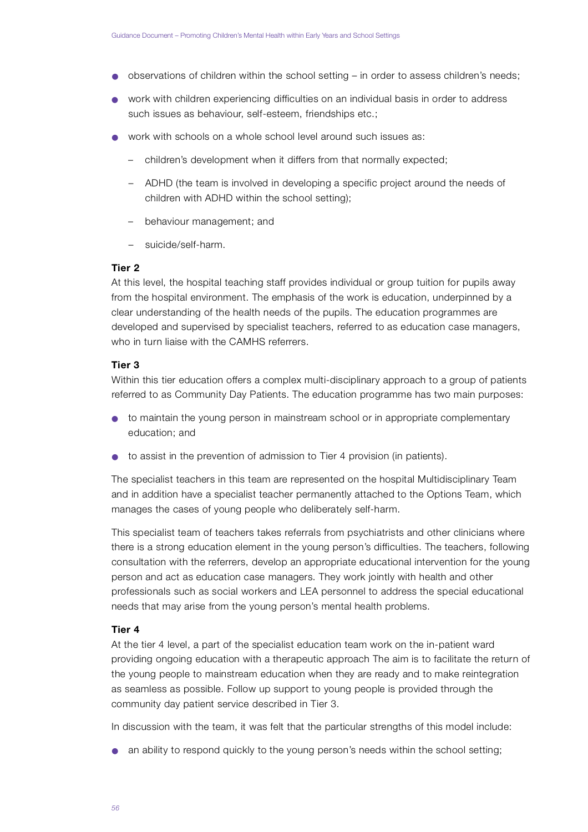- observations of children within the school setting in order to assess children's needs;
- work with children experiencing difficulties on an individual basis in order to address such issues as behaviour, self-esteem, friendships etc.;
- work with schools on a whole school level around such issues as:
	- children's development when it differs from that normally expected;
	- ADHD (the team is involved in developing a specific project around the needs of children with ADHD within the school setting);
	- behaviour management; and
	- suicide/self-harm.

## **Tier 2**

At this level, the hospital teaching staff provides individual or group tuition for pupils away from the hospital environment. The emphasis of the work is education, underpinned by a clear understanding of the health needs of the pupils. The education programmes are developed and supervised by specialist teachers, referred to as education case managers, who in turn liaise with the CAMHS referrers.

## **Tier 3**

Within this tier education offers a complex multi-disciplinary approach to a group of patients referred to as Community Day Patients. The education programme has two main purposes:

- to maintain the young person in mainstream school or in appropriate complementary education; and
- to assist in the prevention of admission to Tier 4 provision (in patients).

The specialist teachers in this team are represented on the hospital Multidisciplinary Team and in addition have a specialist teacher permanently attached to the Options Team, which manages the cases of young people who deliberately self-harm .

This specialist team of teachers takes referrals from psychiatrists and other clinicians where there is a strong education element in the young person's difficulties. The teachers, following consultation with the referrers, develop an appropriate educational intervention for the young person and act as education case managers. They work jointly with health and other p rofessionals such as social workers and LEA personnel to address the special educational needs that may arise from the young person's mental health problems.

#### **Tier 4**

At the tier 4 level, a part of the specialist education team work on the in-patient ward providing ongoing education with a therapeutic approach The aim is to facilitate the return of the young people to mainstream education when they are ready and to make reintegration as seamless as possible. Follow up support to young people is provided through the community day patient service described in Tier 3.

In discussion with the team, it was felt that the particular strengths of this model include:

● an ability to respond quickly to the young person's needs within the school setting;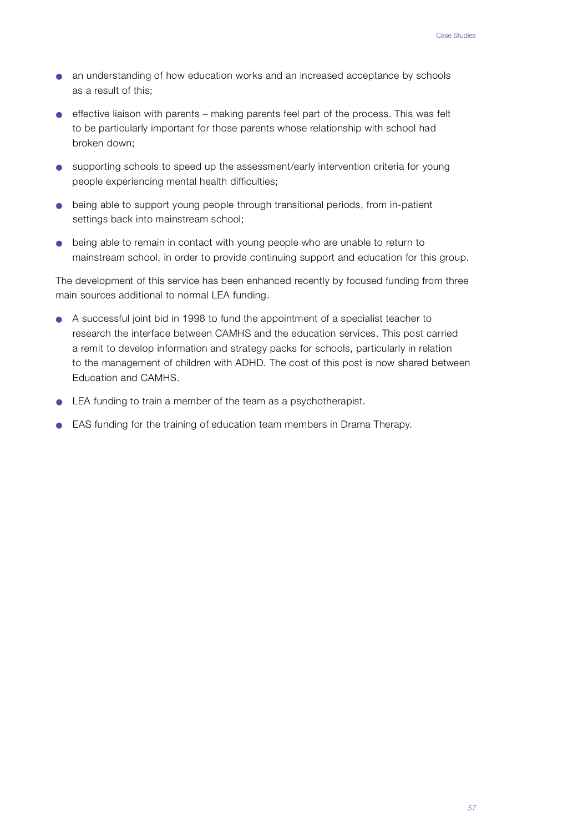- an understanding of how education works and an increased acceptance by schools as a result of this;
- effective liaison with parents making parents feel part of the process. This was felt to be particularly important for those parents whose relationship with school had broken down;
- supporting schools to speed up the assessment/early intervention criteria for young people experiencing mental health difficulties;
- being able to support young people through transitional periods, from in-patient settings back into mainstream school;
- being able to remain in contact with young people who are unable to return to mainstream school, in order to provide continuing support and education for this group.

The development of this service has been enhanced recently by focused funding from three main sources additional to normal LEA funding.

- A successful joint bid in 1998 to fund the appointment of a specialist teacher to research the interface between CAMHS and the education services. This post carried a remit to develop information and strategy packs for schools, particularly in relation to the management of children with ADHD. The cost of this post is now shared between Education and CAMHS.
- LEA funding to train a member of the team as a psychotherapist.
- EAS funding for the training of education team members in Drama Therapy.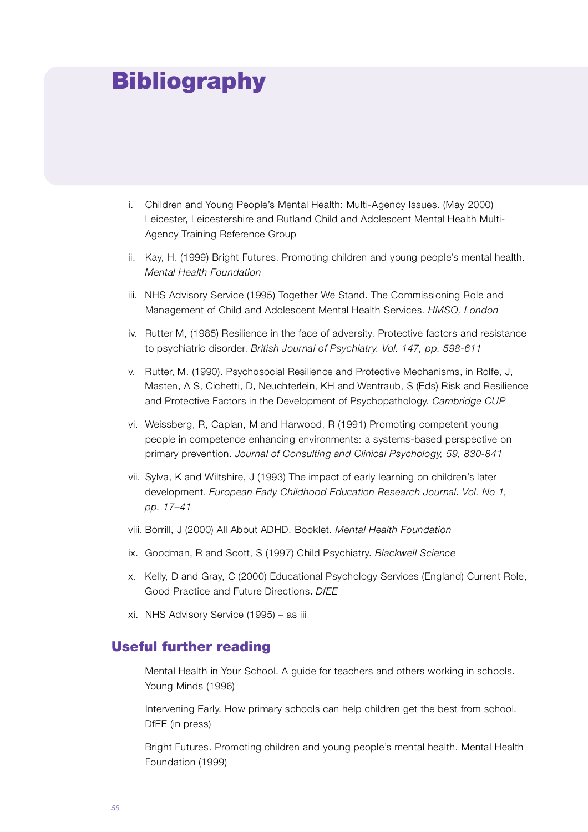## **Bibliography**

- i. Children and Young People's Mental Health: Multi-Agency Issues. (May 2000) Leicester, Leicestershire and Rutland Child and Adolescent Mental Health Multi-Agency Training Reference Group
- ii. Kay, H. (1999) Bright Futures. Promoting children and young people's mental health. *Mental Health Foundation*
- iii. NHS Advisory Service (1995) Together We Stand. The Commissioning Role and Management of Child and Adolescent Mental Health Services. *HMSO, London*
- iv. Rutter M, (1985) Resilience in the face of adversity. Protective factors and resistance to psychiatric disorder. *British Journal of Psychiatry. Vol. 147, pp. 598-611*
- v. Rutter, M. (1990). Psychosocial Resilience and Protective Mechanisms, in Rolfe, J. Masten, A S, Cichetti, D, Neuchterlein, KH and Wentraub, S (Eds) Risk and Resilience and Protective Factors in the Development of Psychopathology. *Cambridge CUP*
- vi. Weissberg, R, Caplan, M and Harwood, R (1991) Promoting competent young people in competence enhancing environments: a systems-based perspective on primary prevention. Journal of Consulting and Clinical Psychology, 59, 830-841
- vii. Sylva, K and Wiltshire, J (1993) The impact of early learning on children's later development. *European Early Childhood Education Research Journal. Vol. No 1*, *p p . 1 7 – 4 1*
- viii. Borrill, J (2000) All About ADHD. Booklet. *Mental Health Foundation*
- ix. Goodman, R and Scott, S (1997) Child Psychiatry. *Blackwell Science*
- x. Kelly, D and Gray, C (2000) Educational Psychology Services (England) Current Role, Good Practice and Future Directions. DfEE
- xi. NHS Advisory Service (1995) as iii

## Useful further reading

Mental Health in Your School. A guide for teachers and others working in schools. Young Minds (1996)

Intervening Early. How primary schools can help children get the best from school. DfEE (in press)

Bright Futures. Promoting children and young people's mental health. Mental Health Foundation (1999)